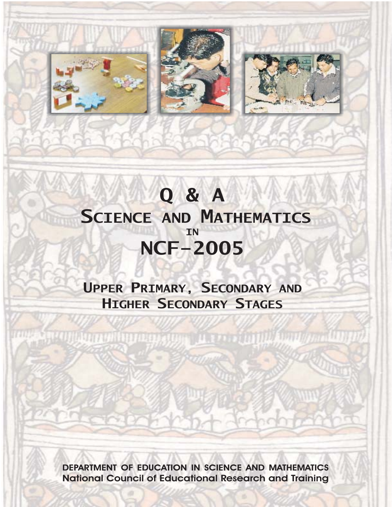

# **Q&A SCIENCE AND MATHEMATICS NCF-2005 IN**

UPPER PRIMARY, SECONDARY AND **HIGHER SECONDARY STAGES** 

**AURE STRACTION IN CONTRACT ACTOR AND ACTOR AND ACTOR (ACTOR)** 

**DEPARTMENT OF EDUCATION IN SCIENCE AND MATHEMATICS National Council of Educational Research and Training**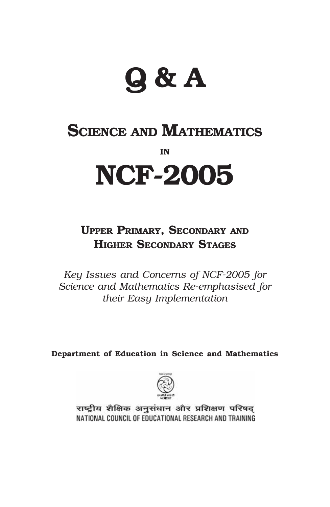# **Q & A**

# **SCIENCE AND MATHEMATICS IN NCF-2005**

# **UPPER PRIMARY, SECONDARY AND HIGHER SECONDARY STAGES**

*Key Issues and Concerns of NCF-2005 for Science and Mathematics Re-emphasised for their Easy Implementation*

**Department of Education in Science and Mathematics**



राष्ट्रीय शैक्षिक अनुसंधान और प्रशिक्षण परिषद् NATIONAL COUNCIL OF EDUCATIONAL RESEARCH AND TRAINING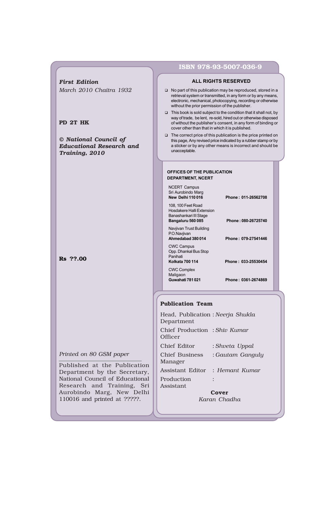|                                                                            | ISBN 978-93-5007-036-9                                                                                                                                                                                                                                                                                                                                                                                                                                                                                                                                 |  |
|----------------------------------------------------------------------------|--------------------------------------------------------------------------------------------------------------------------------------------------------------------------------------------------------------------------------------------------------------------------------------------------------------------------------------------------------------------------------------------------------------------------------------------------------------------------------------------------------------------------------------------------------|--|
| <b>First Edition</b>                                                       | <b>ALL RIGHTS RESERVED</b>                                                                                                                                                                                                                                                                                                                                                                                                                                                                                                                             |  |
| March 2010 Chaitra 1932                                                    | No part of this publication may be reproduced, stored in a<br>retrieval system or transmitted, in any form or by any means,<br>electronic, mechanical, photocopying, recording or otherwise<br>without the prior permission of the publisher.                                                                                                                                                                                                                                                                                                          |  |
| PD 2T HK                                                                   | This book is sold subject to the condition that it shall not, by<br>way of trade, be lent, re-sold, hired out or otherwise disposed<br>of without the publisher's consent, in any form of binding or<br>cover other than that in which it is published.                                                                                                                                                                                                                                                                                                |  |
| © National Council of<br><b>Educational Research and</b><br>Training, 2010 | $\Box$ The correct price of this publication is the price printed on<br>this page. Any revised price indicated by a rubber stamp or by<br>a sticker or by any other means is incorrect and should be<br>unacceptable.                                                                                                                                                                                                                                                                                                                                  |  |
| Rs ??.00                                                                   | OFFICES OF THE PUBLICATION<br><b>DEPARTMENT, NCERT</b><br><b>NCERT Campus</b><br>Sri Aurobindo Marg<br>New Delhi 110 016<br>Phone: 011-26562708<br>108, 100 Feet Road<br>Hosdakere Halli Extension<br>Banashankari III Stage<br>Bangaluru 560 085<br>Phone: 080-26725740<br>Navjivan Trust Building<br>P.O.Navjivan<br>Ahmedabad 380 014<br>Phone: 079-27541446<br><b>CWC Campus</b><br>Opp. Dhankal Bus Stop<br>Panihati<br><b>Kolkata 700 114</b><br>Phone: 033-25530454<br><b>CWC Complex</b><br>Maligaon<br>Guwahati 781021<br>Phone: 0361-2674869 |  |
|                                                                            | <b>Publication Team</b><br>Head, Publication: Neerja Shukla<br>Department                                                                                                                                                                                                                                                                                                                                                                                                                                                                              |  |
|                                                                            | Chief Production: Shiv Kumar<br>Officer                                                                                                                                                                                                                                                                                                                                                                                                                                                                                                                |  |
|                                                                            | Chief Editor<br>: Shveta Uppal                                                                                                                                                                                                                                                                                                                                                                                                                                                                                                                         |  |
| Printed on 80 GSM paper<br>Published at the Publication                    | : Gautam Ganguly<br>Chief Business<br>Manager                                                                                                                                                                                                                                                                                                                                                                                                                                                                                                          |  |
| Department by the Secretary,                                               | Assistant Editor<br>: Hemant Kumar                                                                                                                                                                                                                                                                                                                                                                                                                                                                                                                     |  |
| National Council of Educational<br>Research and Training,<br>Sri           | Production<br>Assistant                                                                                                                                                                                                                                                                                                                                                                                                                                                                                                                                |  |
| Aurobindo Maro New Delhi                                                   | <b>Carl</b>                                                                                                                                                                                                                                                                                                                                                                                                                                                                                                                                            |  |

**Cover** *Karan Chadha*

Aurobindo Marg, New Delhi 110016 and printed at ?????.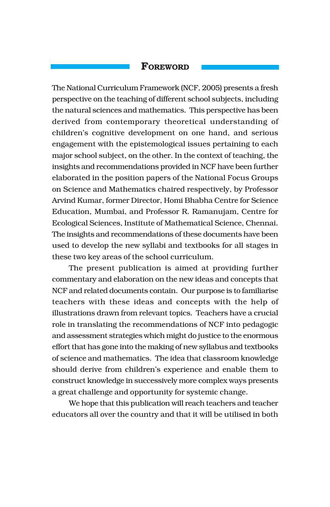## **FOREWORD**

The National Curriculum Framework (NCF, 2005) presents a fresh perspective on the teaching of different school subjects, including the natural sciences and mathematics. This perspective has been derived from contemporary theoretical understanding of childrenís cognitive development on one hand, and serious engagement with the epistemological issues pertaining to each major school subject, on the other. In the context of teaching, the insights and recommendations provided in NCF have been further elaborated in the position papers of the National Focus Groups on Science and Mathematics chaired respectively, by Professor Arvind Kumar, former Director, Homi Bhabha Centre for Science Education, Mumbai, and Professor R. Ramanujam, Centre for Ecological Sciences, Institute of Mathematical Science, Chennai. The insights and recommendations of these documents have been used to develop the new syllabi and textbooks for all stages in these two key areas of the school curriculum.

The present publication is aimed at providing further commentary and elaboration on the new ideas and concepts that NCF and related documents contain. Our purpose is to familiarise teachers with these ideas and concepts with the help of illustrations drawn from relevant topics. Teachers have a crucial role in translating the recommendations of NCF into pedagogic and assessment strategies which might do justice to the enormous effort that has gone into the making of new syllabus and textbooks of science and mathematics. The idea that classroom knowledge should derive from children's experience and enable them to construct knowledge in successively more complex ways presents a great challenge and opportunity for systemic change.

We hope that this publication will reach teachers and teacher educators all over the country and that it will be utilised in both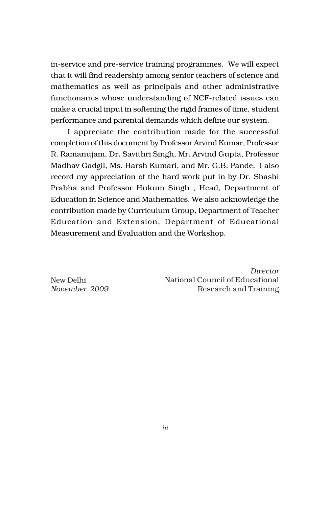in-service and pre-service training programmes. We will expect that it will find readership among senior teachers of science and mathematics as well as principals and other administrative functionaries whose understanding of NCF-related issues can make a crucial input in softening the rigid frames of time, student performance and parental demands which define our system.

I appreciate the contribution made for the successful completion of this document by Professor Arvind Kumar, Professor R. Ramanujam, Dr. Savithri Singh, Mr. Arvind Gupta, Professor Madhav Gadgil, Ms. Harsh Kumari, and Mr. G.B. Pande. I also record my appreciation of the hard work put in by Dr. Shashi Prabha and Professor Hukum Singh , Head, Department of Education in Science and Mathematics. We also acknowledge the contribution made by Curriculum Group, Department of Teacher Education and Extension, Department of Educational Measurement and Evaluation and the Workshop.

New Delhi *November 2009*

*Director* National Council of Educational Research and Training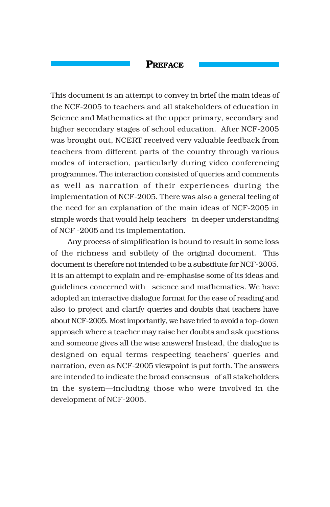# **PREFACE**

This document is an attempt to convey in brief the main ideas of the NCF-2005 to teachers and all stakeholders of education in Science and Mathematics at the upper primary, secondary and higher secondary stages of school education. After NCF-2005 was brought out, NCERT received very valuable feedback from teachers from different parts of the country through various modes of interaction, particularly during video conferencing programmes. The interaction consisted of queries and comments as well as narration of their experiences during the implementation of NCF-2005. There was also a general feeling of the need for an explanation of the main ideas of NCF-2005 in simple words that would help teachers in deeper understanding of NCF -2005 and its implementation.

Any process of simplification is bound to result in some loss of the richness and subtlety of the original document. This document is therefore not intended to be a substitute for NCF-2005. It is an attempt to explain and re-emphasise some of its ideas and guidelines concerned with science and mathematics. We have adopted an interactive dialogue format for the ease of reading and also to project and clarify queries and doubts that teachers have about NCF-2005. Most importantly, we have tried to avoid a top-down approach where a teacher may raise her doubts and ask questions and someone gives all the wise answers! Instead, the dialogue is designed on equal terms respecting teachers' queries and narration, even as NCF-2005 viewpoint is put forth. The answers are intended to indicate the broad consensus of all stakeholders in the system-including those who were involved in the development of NCF-2005.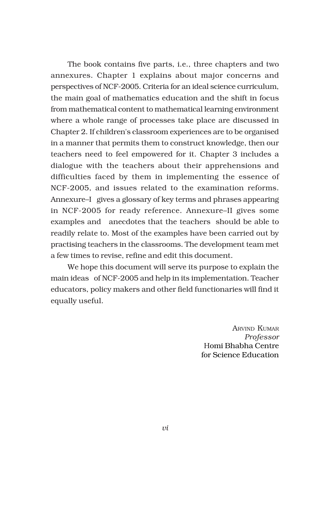The book contains five parts, i.e., three chapters and two annexures. Chapter 1 explains about major concerns and perspectives of NCF-2005. Criteria for an ideal science curriculum, the main goal of mathematics education and the shift in focus from mathematical content to mathematical learning environment where a whole range of processes take place are discussed in Chapter 2. If children's classroom experiences are to be organised in a manner that permits them to construct knowledge, then our teachers need to feel empowered for it. Chapter 3 includes a dialogue with the teachers about their apprehensions and difficulties faced by them in implementing the essence of NCF-2005, and issues related to the examination reforms. Annexure-I gives a glossary of key terms and phrases appearing in NCF-2005 for ready reference. Annexure–II gives some examples and anecdotes that the teachers should be able to readily relate to. Most of the examples have been carried out by practising teachers in the classrooms. The development team met a few times to revise, refine and edit this document.

We hope this document will serve its purpose to explain the main ideas of NCF-2005 and help in its implementation. Teacher educators, policy makers and other field functionaries will find it equally useful.

> ARVIND KUMAR *Professor* Homi Bhabha Centre for Science Education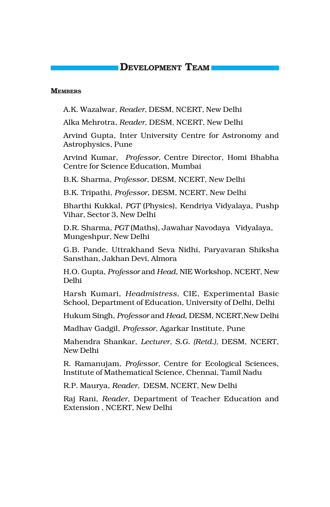# **DEVELOPMENT TEAM**

#### **MEMBERS**

A.K. Wazalwar, *Reader*, DESM, NCERT, New Delhi

Alka Mehrotra, *Reader*, DESM, NCERT, New Delhi

Arvind Gupta, Inter University Centre for Astronomy and Astrophysics, Pune

Arvind Kumar, *Professor,* Centre Director, Homi Bhabha Centre for Science Education, Mumbai

B.K. Sharma, *Professor*, DESM, NCERT, New Delhi

B.K. Tripathi, *Professor*, DESM, NCERT, New Delhi

Bharthi Kukkal, *PGT* (Physics), Kendriya Vidyalaya, Pushp Vihar, Sector 3, New Delhi

D.R. Sharma, *PGT* (Maths), Jawahar Navodaya Vidyalaya, Mungeshpur, New Delhi

G.B. Pande, Uttrakhand Seva Nidhi, Paryavaran Shiksha Sansthan, Jakhan Devi, Almora

H.O. Gupta, *Professor* and *Head*, NIE Workshop, NCERT, New Delhi

Harsh Kumari, *Headmistress*, CIE, Experimental Basic School, Department of Education, University of Delhi, Delhi

Hukum Singh, *Professor* and *Head*, DESM, NCERT,New Delhi

Madhav Gadgil, *Professor,* Agarkar Institute, Pune

Mahendra Shankar, *Lecturer, S.G. (Retd.),* DESM, NCERT, New Delhi

R. Ramanujam, *Professor,* Centre for Ecological Sciences, Institute of Mathematical Science, Chennai, Tamil Nadu

R.P. Maurya, *Reader,* DESM, NCERT, New Delhi

Raj Rani, *Reader*, Department of Teacher Education and Extension , NCERT, New Delhi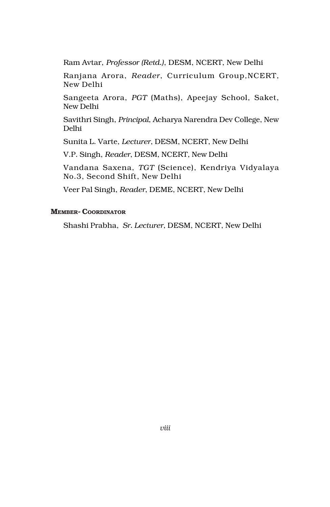Ram Avtar, *Professor (Retd.)*, DESM, NCERT, New Delhi

Ranjana Arora, *Reader*, Curriculum Group,NCERT, New Delhi

Sangeeta Arora, *PGT* (Maths), Apeejay School, Saket, New Delhi

Savithri Singh, *Principal*, Acharya Narendra Dev College, New Delhi

Sunita L. Varte, *Lecturer*, DESM, NCERT, New Delhi

V.P. Singh, *Reader*, DESM, NCERT, New Delhi

Vandana Saxena, *TGT* (Science), Kendriya Vidyalaya No.3, Second Shift, New Delhi

Veer Pal Singh, *Reader*, DEME, NCERT, New Delhi

#### **MEMBER- COORDINATOR**

Shashi Prabha, *Sr. Lecturer*, DESM, NCERT, New Delhi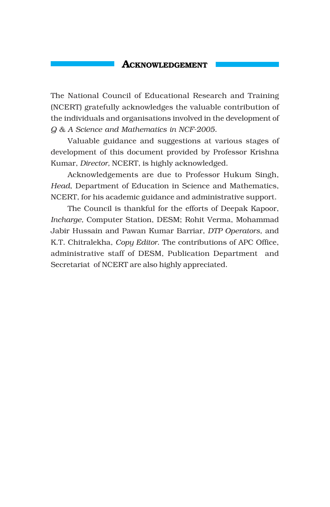#### **ACKNOWLEDGEMENT**

The National Council of Educational Research and Training (NCERT) gratefully acknowledges the valuable contribution of the individuals and organisations involved in the development of *Q & A Science and Mathematics in NCF-2005*.

Valuable guidance and suggestions at various stages of development of this document provided by Professor Krishna Kumar, *Director,* NCERT, is highly acknowledged.

Acknowledgements are due to Professor Hukum Singh, *Head*, Department of Education in Science and Mathematics, NCERT, for his academic guidance and administrative support.

The Council is thankful for the efforts of Deepak Kapoor, *Incharge,* Computer Station, DESM; Rohit Verma, Mohammad Jabir Hussain and Pawan Kumar Barriar, *DTP Operators,* and K.T. Chitralekha, *Copy Editor*. The contributions of APC Office, administrative staff of DESM, Publication Department and Secretariat of NCERT are also highly appreciated.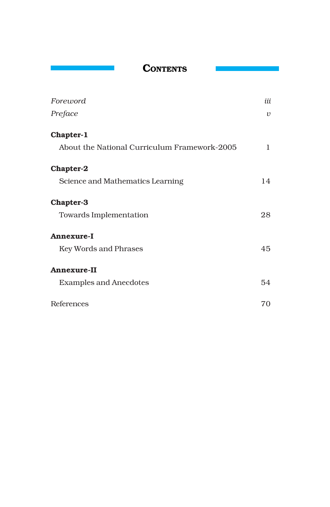**CONTENTS**

| Foreword                                     | iii        |
|----------------------------------------------|------------|
| Preface                                      | $\upsilon$ |
| Chapter-1                                    |            |
| About the National Curriculum Framework-2005 | 1          |
| <b>Chapter-2</b>                             |            |
| Science and Mathematics Learning             | 14         |
| <b>Chapter-3</b>                             |            |
| Towards Implementation                       | 28         |
| <b>Annexure-I</b>                            |            |
| Key Words and Phrases                        | 45         |
| <b>Annexure-II</b>                           |            |
| <b>Examples and Anecdotes</b>                | 54         |
| References                                   | 70         |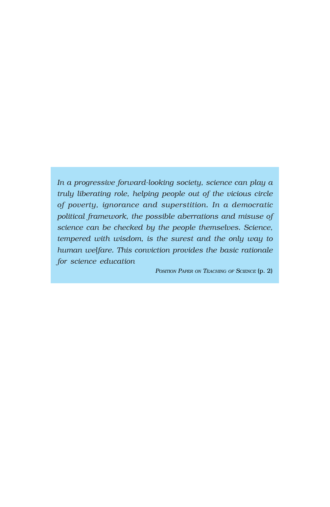*In a progressive forward-looking society, science can play a truly liberating role, helping people out of the vicious circle of poverty, ignorance and superstition. In a democratic political framework, the possible aberrations and misuse of science can be checked by the people themselves. Science, tempered with wisdom, is the surest and the only way to human welfare. This conviction provides the basic rationale for science education*

*POSITION PAPER ON TEACHING OF SCIENCE* (p. 2)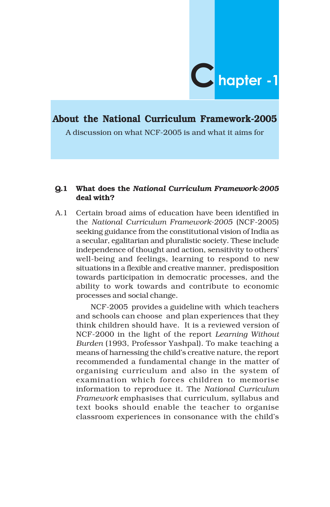

# **About the National Curriculum Framework-2005**

A discussion on what NCF-2005 is and what it aims for

#### **Q.1 What does the** *National Curriculum Framework-2005* **deal with?**

A.1 Certain broad aims of education have been identified in the *National Curriculum Framework-2005* (NCF-2005) seeking guidance from the constitutional vision of India as a secular, egalitarian and pluralistic society. These include independence of thought and action, sensitivity to others' well-being and feelings, learning to respond to new situations in a flexible and creative manner, predisposition towards participation in democratic processes, and the ability to work towards and contribute to economic processes and social change.

NCF-2005 provides a guideline with which teachers and schools can choose and plan experiences that they think children should have. It is a reviewed version of NCF-2000 in the light of the report *Learning Without Burden* (1993, Professor Yashpal). To make teaching a means of harnessing the child's creative nature, the report recommended a fundamental change in the matter of organising curriculum and also in the system of examination which forces children to memorise information to reproduce it. The *National Curriculum Framework* emphasises that curriculum, syllabus and text books should enable the teacher to organise classroom experiences in consonance with the child's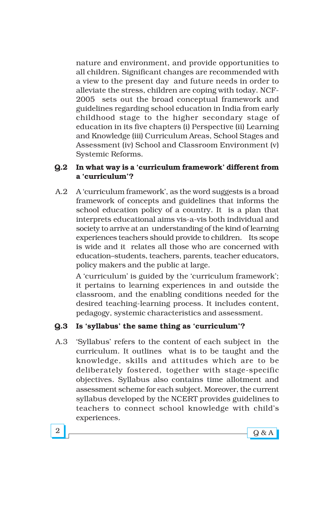nature and environment, and provide opportunities to all children. Significant changes are recommended with a view to the present day and future needs in order to alleviate the stress, children are coping with today. NCF-2005 sets out the broad conceptual framework and guidelines regarding school education in India from early childhood stage to the higher secondary stage of education in its five chapters (i) Perspective (ii) Learning and Knowledge (iii) Curriculum Areas, School Stages and Assessment (iv) School and Classroom Environment (v) Systemic Reforms.

# **Q.2** In what way is a 'curriculum framework' different from **a ëcurriculumí?**

A.2 A 'curriculum framework', as the word suggests is a broad framework of concepts and guidelines that informs the school education policy of a country. It is a plan that interprets educational aims vis-a-vis both individual and society to arrive at an understanding of the kind of learning experiences teachers should provide to children. Its scope is wide and it relates all those who are concerned with education-students, teachers, parents, teacher educators, policy makers and the public at large.

A 'curriculum' is guided by the 'curriculum framework'; it pertains to learning experiences in and outside the classroom, and the enabling conditions needed for the desired teaching-learning process. It includes content, pedagogy, systemic characteristics and assessment.

# **Q.3 Is ësyllabusí the same thing as ëcurriculumí?**

A.3 Syllabus' refers to the content of each subject in the curriculum. It outlines what is to be taught and the knowledge, skills and attitudes which are to be deliberately fostered, together with stage-specific objectives. Syllabus also contains time allotment and assessment scheme for each subject. Moreover, the current syllabus developed by the NCERT provides guidelines to teachers to connect school knowledge with child's experiences.

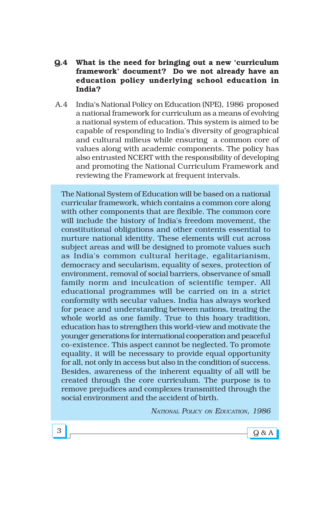#### **Q.4 What is the need for bringing out a new ëcurriculum frameworkí document? Do we not already have an education policy underlying school education in India?**

A.4 Indiaës National Policy on Education (NPE), 1986 proposed a national framework for curriculum as a means of evolving a national system of education. This system is aimed to be capable of responding to Indiaís diversity of geographical and cultural milieus while ensuring a common core of values along with academic components. The policy has also entrusted NCERT with the responsibility of developing and promoting the National Curriculum Framework and reviewing the Framework at frequent intervals.

The National System of Education will be based on a national curricular framework, which contains a common core along with other components that are flexible. The common core will include the history of India's freedom movement, the constitutional obligations and other contents essential to nurture national identity. These elements will cut across subject areas and will be designed to promote values such as India's common cultural heritage, egalitarianism, democracy and secularism, equality of sexes, protection of environment, removal of social barriers, observance of small family norm and inculcation of scientific temper. All educational programmes will be carried on in a strict conformity with secular values. India has always worked for peace and understanding between nations, treating the whole world as one family. True to this hoary tradition, education has to strengthen this world-view and motivate the younger generations for international cooperation and peaceful co-existence. This aspect cannot be neglected. To promote equality, it will be necessary to provide equal opportunity for all, not only in access but also in the condition of success. Besides, awareness of the inherent equality of all will be created through the core curriculum. The purpose is to remove prejudices and complexes transmitted through the social environment and the accident of birth.

*NATIONAL POLICY ON EDUCATION, 1986*

 $3 \sim 9$  & A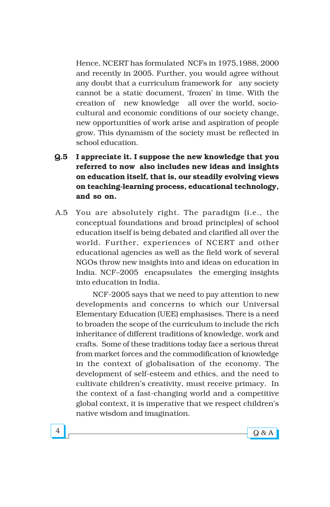Hence, NCERT has formulated NCFs in 1975,1988, 2000 and recently in 2005. Further, you would agree without any doubt that a curriculum framework for any society cannot be a static document, 'frozen' in time. With the creation of new knowledge all over the world, sociocultural and economic conditions of our society change, new opportunities of work arise and aspiration of people grow. This dynamism of the society must be reflected in school education.

- **Q.5 I appreciate it. I suppose the new knowledge that you referred to now also includes new ideas and insights on education itself, that is, our steadily evolving views on teaching-learning process, educational technology, and so on.**
- A.5 You are absolutely right. The paradigm (i.e., the conceptual foundations and broad principles) of school education itself is being debated and clarified all over the world. Further, experiences of NCERT and other educational agencies as well as the field work of several NGOs throw new insights into and ideas on education in India. NCF-2005 encapsulates the emerging insights into education in India.

NCF-2005 says that we need to pay attention to new developments and concerns to which our Universal Elementary Education (UEE) emphasises. There is a need to broaden the scope of the curriculum to include the rich inheritance of different traditions of knowledge, work and crafts. Some of these traditions today face a serious threat from market forces and the commodification of knowledge in the context of globalisation of the economy. The development of self-esteem and ethics, and the need to cultivate childrenís creativity, must receive primacy. In the context of a fast-changing world and a competitive global context, it is imperative that we respect children's native wisdom and imagination.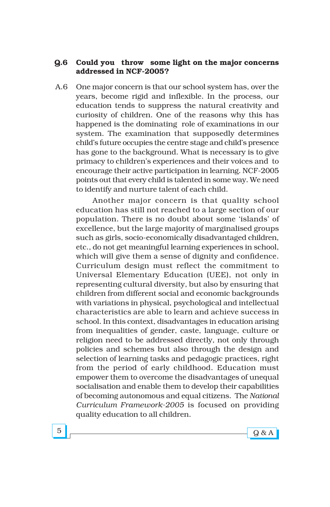#### **Q.6 Could you throw some light on the major concerns addressed in NCF-2005?**

A.6 One major concern is that our school system has, over the years, become rigid and inflexible. In the process, our education tends to suppress the natural creativity and curiosity of children. One of the reasons why this has happened is the dominating role of examinations in our system. The examination that supposedly determines child's future occupies the centre stage and child's presence has gone to the background. What is necessary is to give primacy to childrenís experiences and their voices and to encourage their active participation in learning. NCF-2005 points out that every child is talented in some way. We need to identify and nurture talent of each child.

Another major concern is that quality school education has still not reached to a large section of our population. There is no doubt about some 'islands' of excellence, but the large majority of marginalised groups such as girls, socio-economically disadvantaged children, etc., do not get meaningful learning experiences in school, which will give them a sense of dignity and confidence. Curriculum design must reflect the commitment to Universal Elementary Education (UEE), not only in representing cultural diversity, but also by ensuring that children from different social and economic backgrounds with variations in physical, psychological and intellectual characteristics are able to learn and achieve success in school. In this context, disadvantages in education arising from inequalities of gender, caste, language, culture or religion need to be addressed directly, not only through policies and schemes but also through the design and selection of learning tasks and pedagogic practices, right from the period of early childhood. Education must empower them to overcome the disadvantages of unequal socialisation and enable them to develop their capabilities of becoming autonomous and equal citizens. The *National Curriculum Framework-2005* is focused on providing quality education to all children.

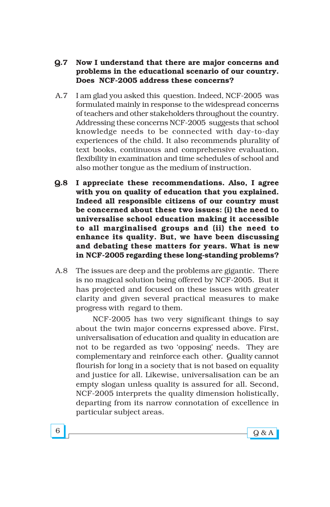- **Q.7 Now I understand that there are major concerns and problems in the educational scenario of our country. Does NCF-2005 address these concerns?**
- A.7 I am glad you asked this question. Indeed, NCF-2005 was formulated mainly in response to the widespread concerns of teachers and other stakeholders throughout the country. Addressing these concerns NCF-2005 suggests that school knowledge needs to be connected with day-to-day experiences of the child. It also recommends plurality of text books, continuous and comprehensive evaluation, flexibility in examination and time schedules of school and also mother tongue as the medium of instruction.
- **Q.8 I appreciate these recommendations. Also, I agree with you on quality of education that you explained. Indeed all responsible citizens of our country must be concerned about these two issues: (i) the need to universalise school education making it accessible to all marginalised groups and (ii) the need to enhance its quality. But, we have been discussing and debating these matters for years. What is new in NCF-2005 regarding these long-standing problems?**
- A.8 The issues are deep and the problems are gigantic. There is no magical solution being offered by NCF-2005. But it has projected and focused on these issues with greater clarity and given several practical measures to make progress with regard to them.

NCF-2005 has two very significant things to say about the twin major concerns expressed above. First, universalisation of education and quality in education are not to be regarded as two ëopposingí needs. They are complementary and reinforce each other. Quality cannot flourish for long in a society that is not based on equality and justice for all. Likewise, universalisation can be an empty slogan unless quality is assured for all. Second, NCF-2005 interprets the quality dimension holistically, departing from its narrow connotation of excellence in particular subject areas.

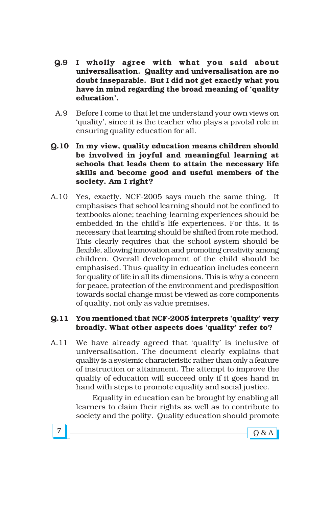- **Q.9 I wholly agree with what you said about universalisation. Quality and universalisation are no doubt inseparable. But I did not get exactly what you have in mind regarding the broad meaning of ëquality educationí.**
- A.9 Before I come to that let me understand your own views on ëqualityí, since it is the teacher who plays a pivotal role in ensuring quality education for all.
- **Q.10 In my view, quality education means children should be involved in joyful and meaningful learning at schools that leads them to attain the necessary life skills and become good and useful members of the society. Am I right?**
- A.10 Yes, exactly. NCF-2005 says much the same thing. It emphasises that school learning should not be confined to textbooks alone; teaching-learning experiences should be embedded in the child's life experiences. For this, it is necessary that learning should be shifted from rote method. This clearly requires that the school system should be flexible, allowing innovation and promoting creativity among children. Overall development of the child should be emphasised. Thus quality in education includes concern for quality of life in all its dimensions. This is why a concern for peace, protection of the environment and predisposition towards social change must be viewed as core components of quality, not only as value premises.

#### **Q.11 You mentioned that NCF-2005 interprets ëqualityí very broadly. What other aspects does ëqualityí refer to?**

A.11 We have already agreed that 'quality' is inclusive of universalisation. The document clearly explains that quality is a systemic characteristic rather than only a feature of instruction or attainment. The attempt to improve the quality of education will succeed only if it goes hand in hand with steps to promote equality and social justice.

> Equality in education can be brought by enabling all learners to claim their rights as well as to contribute to society and the polity. Quality education should promote

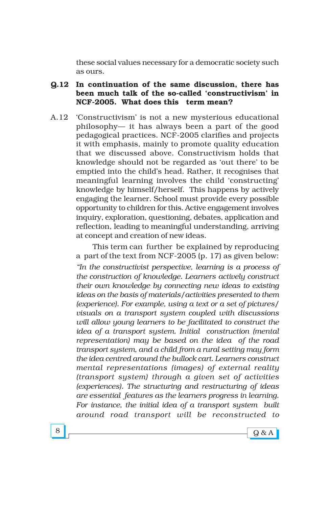these social values necessary for a democratic society such as ours.

#### **Q.12 In continuation of the same discussion, there has** been much talk of the so-called 'constructivism' in **NCF-2005. What does this term mean?**

A.12 Constructivism' is not a new mysterious educational philosophy— it has always been a part of the good pedagogical practices. NCF-2005 clarifies and projects it with emphasis, mainly to promote quality education that we discussed above. Constructivism holds that knowledge should not be regarded as 'out there' to be emptied into the child's head. Rather, it recognises that meaningful learning involves the child 'constructing' knowledge by himself/herself. This happens by actively engaging the learner. School must provide every possible opportunity to children for this. Active engagement involves inquiry, exploration, questioning, debates, application and reflection, leading to meaningful understanding, arriving at concept and creation of new ideas.

> This term can further be explained by reproducing a part of the text from NCF-2005 (p. 17) as given below:

> *ìIn the constructivist perspective, learning is a process of the construction of knowledge. Learners actively construct their own knowledge by connecting new ideas to existing ideas on the basis of materials/activities presented to them (experience). For example, using a text or a set of pictures/ visuals on a transport system coupled with discussions will allow young learners to be facilitated to construct the idea of a transport system. Initial construction (mental representation) may be based on the idea of the road transport system, and a child from a rural setting may form the idea centred around the bullock cart. Learners construct mental representations (images) of external reality (transport system) through a given set of activities (experiences). The structuring and restructuring of ideas are essential features as the learners progress in learning. For instance, the initial idea of a transport system built around road transport will be reconstructed to*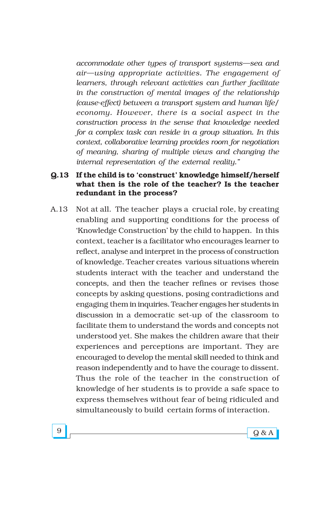*accommodate other types of transport systems—sea and*  $air$ —using appropriate activities. The engagement of *learners, through relevant activities can further facilitate in the construction of mental images of the relationship (cause-effect) between a transport system and human life/ economy. However, there is a social aspect in the construction process in the sense that knowledge needed for a complex task can reside in a group situation. In this context, collaborative learning provides room for negotiation of meaning, sharing of multiple views and changing the internal representation of the external reality.î*

#### **Q.13** If the child is to 'construct' knowledge himself/herself **what then is the role of the teacher? Is the teacher redundant in the process?**

A.13 Not at all. The teacher plays a crucial role, by creating enabling and supporting conditions for the process of 'Knowledge Construction' by the child to happen. In this context, teacher is a facilitator who encourages learner to reflect, analyse and interpret in the process of construction of knowledge. Teacher creates various situations wherein students interact with the teacher and understand the concepts, and then the teacher refines or revises those concepts by asking questions, posing contradictions and engaging them in inquiries. Teacher engages her students in discussion in a democratic set-up of the classroom to facilitate them to understand the words and concepts not understood yet. She makes the children aware that their experiences and perceptions are important. They are encouraged to develop the mental skill needed to think and reason independently and to have the courage to dissent. Thus the role of the teacher in the construction of knowledge of her students is to provide a safe space to express themselves without fear of being ridiculed and simultaneously to build certain forms of interaction.

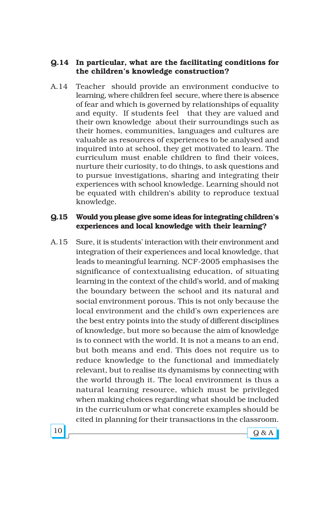#### **Q.14 In particular, what are the facilitating conditions for the childrenís knowledge construction?**

A.14 Teacher should provide an environment conducive to learning, where children feel secure, where there is absence of fear and which is governed by relationships of equality and equity. If students feel that they are valued and their own knowledge about their surroundings such as their homes, communities, languages and cultures are valuable as resources of experiences to be analysed and inquired into at school, they get motivated to learn. The curriculum must enable children to find their voices, nurture their curiosity, to do things, to ask questions and to pursue investigations, sharing and integrating their experiences with school knowledge. Learning should not be equated with children's ability to reproduce textual knowledge.

#### **Q.15 Would you please give some ideas for integrating childrenís experiences and local knowledge with their learning?**

A.15 Sure, it is students' interaction with their environment and integration of their experiences and local knowledge, that leads to meaningful learning. NCF-2005 emphasises the significance of contextualising education, of situating learning in the context of the child's world, and of making the boundary between the school and its natural and social environment porous. This is not only because the local environment and the child's own experiences are the best entry points into the study of different disciplines of knowledge, but more so because the aim of knowledge is to connect with the world. It is not a means to an end, but both means and end. This does not require us to reduce knowledge to the functional and immediately relevant, but to realise its dynamisms by connecting with the world through it. The local environment is thus a natural learning resource, which must be privileged when making choices regarding what should be included in the curriculum or what concrete examples should be cited in planning for their transactions in the classroom.

 $10$  Q & A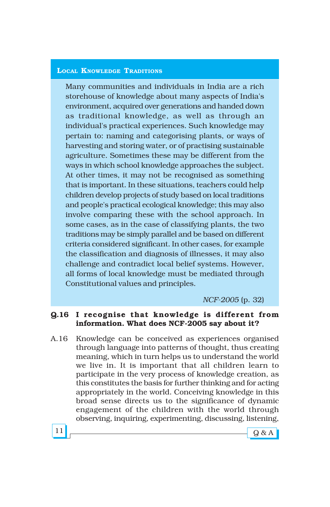#### **LOCAL KNOWLEDGE TRADITIONS**

Many communities and individuals in India are a rich storehouse of knowledge about many aspects of India's environment, acquired over generations and handed down as traditional knowledge, as well as through an individual's practical experiences. Such knowledge may pertain to: naming and categorising plants, or ways of harvesting and storing water, or of practising sustainable agriculture. Sometimes these may be different from the ways in which school knowledge approaches the subject. At other times, it may not be recognised as something that is important. In these situations, teachers could help children develop projects of study based on local traditions and people's practical ecological knowledge; this may also involve comparing these with the school approach. In some cases, as in the case of classifying plants, the two traditions may be simply parallel and be based on different criteria considered significant. In other cases, for example the classification and diagnosis of illnesses, it may also challenge and contradict local belief systems. However, all forms of local knowledge must be mediated through Constitutional values and principles.

#### *NCF-2005* (p. 32)

#### **Q.16 I recognise that knowledge is different from information. What does NCF-2005 say about it?**

A.16 Knowledge can be conceived as experiences organised through language into patterns of thought, thus creating meaning, which in turn helps us to understand the world we live in. It is important that all children learn to participate in the very process of knowledge creation, as this constitutes the basis for further thinking and for acting appropriately in the world. Conceiving knowledge in this broad sense directs us to the significance of dynamic engagement of the children with the world through observing, inquiring, experimenting, discussing, listening,

 $11$   $9$  & A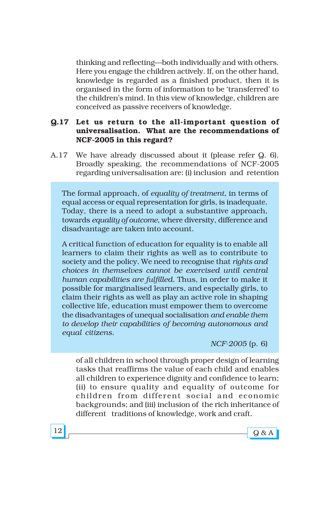thinking and reflecting-both individually and with others. Here you engage the children actively. If, on the other hand, knowledge is regarded as a finished product, then it is organised in the form of information to be 'transferred' to the children's mind. In this view of knowledge, children are conceived as passive receivers of knowledge.

#### **Q.17 Let us return to the all-important question of universalisation. What are the recommendations of NCF-2005 in this regard?**

A.17 We have already discussed about it (please refer Q. 6). Broadly speaking, the recommendations of NCF-2005 regarding universalisation are: (i) inclusion and retention

The formal approach, of *equality of treatment*, in terms of equal access or equal representation for girls, is inadequate. Today, there is a need to adopt a substantive approach, towards *equality of outcome*, where diversity, difference and disadvantage are taken into account.

A critical function of education for equality is to enable all learners to claim their rights as well as to contribute to society and the policy. We need to recognise that *rights and choices in themselves cannot be exercised until central human capabilities are fulfilled.* Thus, in order to make it possible for marginalised learners, and especially girls, to claim their rights as well as play an active role in shaping collective life, education must empower them to overcome the disadvantages of unequal socialisation *and enable them to develop their capabilities of becoming autonomous and equal citizens.*

*NCF-2005* (p. 6)

of all children in school through proper design of learning tasks that reaffirms the value of each child and enables all children to experience dignity and confidence to learn; (ii) to ensure quality and equality of outcome for children from different social and economic backgrounds; and (iii) inclusion of the rich inheritance of different traditions of knowledge, work and craft.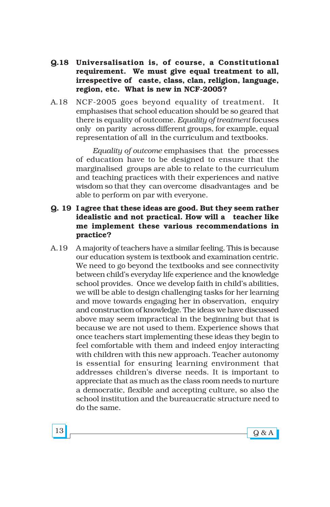- **Q.18 Universalisation is, of course, a Constitutional requirement. We must give equal treatment to all, irrespective of caste, class, clan, religion, language, region, etc. What is new in NCF-2005?**
- A.18 NCF-2005 goes beyond equality of treatment. It emphasises that school education should be so geared that there is equality of outcome. *Equality of treatment* focuses only on parity across different groups, for example, equal representation of all in the curriculum and textbooks.

*Equality of outcome* emphasises that the processes of education have to be designed to ensure that the marginalised groups are able to relate to the curriculum and teaching practices with their experiences and native wisdom so that they can overcome disadvantages and be able to perform on par with everyone.

#### **Q. 19 I agree that these ideas are good. But they seem rather idealistic and not practical. How will a teacher like me implement these various recommendations in practice?**

A.19 A majority of teachers have a similar feeling. This is because our education system is textbook and examination centric. We need to go beyond the textbooks and see connectivity between child's everyday life experience and the knowledge school provides. Once we develop faith in child's abilities, we will be able to design challenging tasks for her learning and move towards engaging her in observation, enquiry and construction of knowledge. The ideas we have discussed above may seem impractical in the beginning but that is because we are not used to them. Experience shows that once teachers start implementing these ideas they begin to feel comfortable with them and indeed enjoy interacting with children with this new approach. Teacher autonomy is essential for ensuring learning environment that addresses children's diverse needs. It is important to appreciate that as much as the class room needs to nurture a democratic, flexible and accepting culture, so also the school institution and the bureaucratic structure need to do the same.

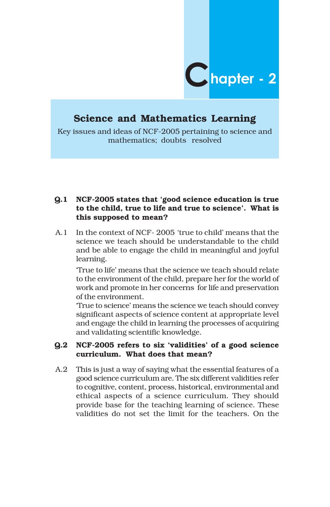

# **Science and Mathematics Learning**

Key issues and ideas of NCF-2005 pertaining to science and mathematics; doubts resolved

#### **Q.1 NCF-2005 states that ëgood science education is true to the child, true to life and true to scienceí. What is this supposed to mean?**

A.1 In the context of NCF-2005 'true to child' means that the science we teach should be understandable to the child and be able to engage the child in meaningful and joyful learning.

ëTrue to lifeí means that the science we teach should relate to the environment of the child, prepare her for the world of work and promote in her concerns for life and preservation of the environment.

True to science' means the science we teach should convey significant aspects of science content at appropriate level and engage the child in learning the processes of acquiring and validating scientific knowledge.

#### **Q.2 NCF-2005 refers to six ëvaliditiesí of a good science curriculum. What does that mean?**

A.2 This is just a way of saying what the essential features of a good science curriculum are. The six different validities refer to cognitive, content, process, historical, environmental and ethical aspects of a science curriculum. They should provide base for the teaching learning of science. These validities do not set the limit for the teachers. On the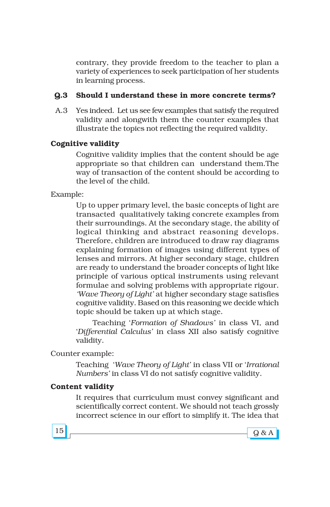contrary, they provide freedom to the teacher to plan a variety of experiences to seek participation of her students in learning process.

## **Q.3 Should I understand these in more concrete terms?**

A.3 Yes indeed. Let us see few examples that satisfy the required validity and alongwith them the counter examples that illustrate the topics not reflecting the required validity.

# **Cognitive validity**

Cognitive validity implies that the content should be age appropriate so that children can understand them.The way of transaction of the content should be according to the level of the child.

# Example:

Up to upper primary level, the basic concepts of light are transacted qualitatively taking concrete examples from their surroundings. At the secondary stage, the ability of logical thinking and abstract reasoning develops. Therefore, children are introduced to draw ray diagrams explaining formation of images using different types of lenses and mirrors. At higher secondary stage, children are ready to understand the broader concepts of light like principle of various optical instruments using relevant formulae and solving problems with appropriate rigour. *Wave Theory of Light'* at higher secondary stage satisfies cognitive validity. Based on this reasoning we decide which topic should be taken up at which stage.

Teaching ë*Formation of Shadowsí* in class VI, and ë*Differential Calculusí* in class XII also satisfy cognitive validity.

#### Counter example:

Teaching *'Wave Theory of Light'* in class VII or *'Irrational Numbersí* in class VI do not satisfy cognitive validity.

#### **Content validity**

It requires that curriculum must convey significant and scientifically correct content. We should not teach grossly incorrect science in our effort to simplify it. The idea that

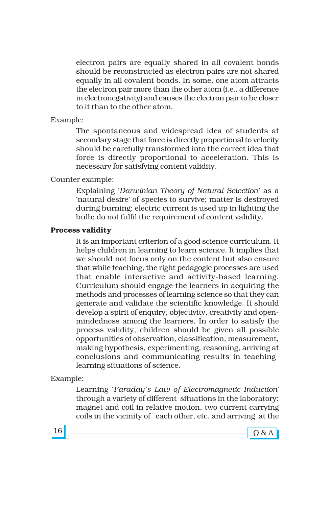electron pairs are equally shared in all covalent bonds should be reconstructed as electron pairs are not shared equally in all covalent bonds. In some, one atom attracts the electron pair more than the other atom (i.e., a difference in electronegativity) and causes the electron pair to be closer to it than to the other atom.

#### Example:

The spontaneous and widespread idea of students at secondary stage that force is directly proportional to velocity should be carefully transformed into the correct idea that force is directly proportional to acceleration. This is necessary for satisfying content validity.

#### Counter example:

Explaining ë*Darwinian Theory of Natural Selectioní* as a 'natural desire' of species to survive; matter is destroyed during burning; electric current is used up in lighting the bulb; do not fulfil the requirement of content validity.

#### **Process validity**

It is an important criterion of a good science curriculum. It helps children in learning to learn science. It implies that we should not focus only on the content but also ensure that while teaching, the right pedagogic processes are used that enable interactive and activity-based learning. Curriculum should engage the learners in acquiring the methods and processes of learning science so that they can generate and validate the scientific knowledge. It should develop a spirit of enquiry, objectivity, creativity and openmindedness among the learners. In order to satisfy the process validity, children should be given all possible opportunities of observation, classification, measurement, making hypothesis, experimenting, reasoning, arriving at conclusions and communicating results in teachinglearning situations of science.

#### Example:

Learning ë*Faradayís Law of Electromagnetic Induction*í through a variety of different situations in the laboratory: magnet and coil in relative motion, two current carrying coils in the vicinity of each other, etc. and arriving at the



 $16 \fbox{g} \& A$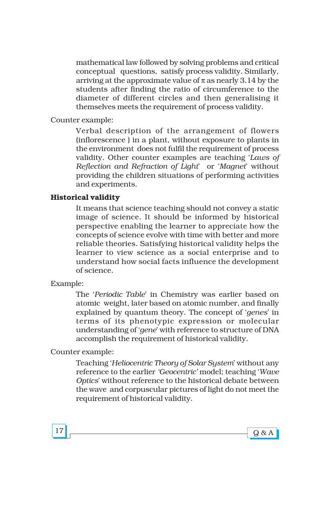mathematical law followed by solving problems and critical conceptual questions, satisfy process validity. Similarly, arriving at the approximate value of  $\pi$  as nearly 3.14 by the students after finding the ratio of circumference to the diameter of different circles and then generalising it themselves meets the requirement of process validity.

Counter example:

Verbal description of the arrangement of flowers (inflorescence ) in a plant, without exposure to plants in the environment does not fulfil the requirement of process validity. Other counter examples are teaching 'Laws of *Reflection and Refraction of Light*í or ë*Magnet*í without providing the children situations of performing activities and experiments.

#### **Historical validity**

It means that science teaching should not convey a static image of science. It should be informed by historical perspective enabling the learner to appreciate how the concepts of science evolve with time with better and more reliable theories. Satisfying historical validity helps the learner to view science as a social enterprise and to understand how social facts influence the development of science.

#### Example:

The 'Periodic Table' in Chemistry was earlier based on atomic weight, later based on atomic number, and finally explained by quantum theory. The concept of *'genes'* in terms of its phenotypic expression or molecular understanding of ë*gene*í with reference to structure of DNA accomplish the requirement of historical validity.

Counter example:

Teaching ë*Heliocentric Theory of Solar System*í without any reference to the earlier 'Geocentric' model; teaching 'Wave *Optics*í without reference to the historical debate between the wave and corpuscular pictures of light do not meet the requirement of historical validity.



 $17 \fbox{g} \& A$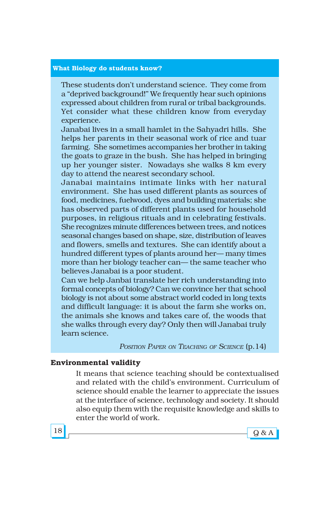#### **What Biology do students know?**

These students don't understand science. They come from a "deprived background!" We frequently hear such opinions expressed about children from rural or tribal backgrounds. Yet consider what these children know from everyday experience.

Janabai lives in a small hamlet in the Sahyadri hills. She helps her parents in their seasonal work of rice and tuar farming. She sometimes accompanies her brother in taking the goats to graze in the bush. She has helped in bringing up her younger sister. Nowadays she walks 8 km every day to attend the nearest secondary school.

Janabai maintains intimate links with her natural environment. She has used different plants as sources of food, medicines, fuelwood, dyes and building materials; she has observed parts of different plants used for household purposes, in religious rituals and in celebrating festivals. She recognizes minute differences between trees, and notices seasonal changes based on shape, size, distribution of leaves and flowers, smells and textures. She can identify about a hundred different types of plants around her-many times more than her biology teacher can— the same teacher who believes Janabai is a poor student.

Can we help Janbai translate her rich understanding into formal concepts of biology? Can we convince her that school biology is not about some abstract world coded in long texts and difficult language: it is about the farm she works on, the animals she knows and takes care of, the woods that she walks through every day? Only then will Janabai truly learn science.

*POSITION PAPER ON TEACHING OF SCIENCE* (p.14)

#### **Environmental validity**

It means that science teaching should be contextualised and related with the child's environment. Curriculum of science should enable the learner to appreciate the issues at the interface of science, technology and society. It should also equip them with the requisite knowledge and skills to enter the world of work.

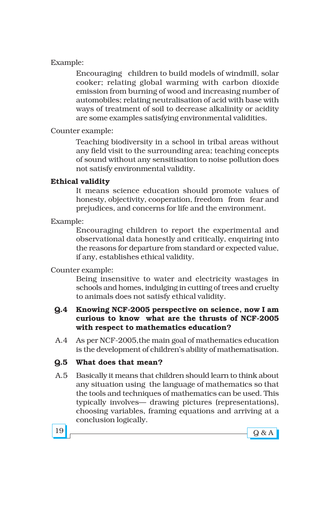# Example:

Encouraging children to build models of windmill, solar cooker; relating global warming with carbon dioxide emission from burning of wood and increasing number of automobiles; relating neutralisation of acid with base with ways of treatment of soil to decrease alkalinity or acidity are some examples satisfying environmental validities.

### Counter example:

Teaching biodiversity in a school in tribal areas without any field visit to the surrounding area; teaching concepts of sound without any sensitisation to noise pollution does not satisfy environmental validity.

# **Ethical validity**

It means science education should promote values of honesty, objectivity, cooperation, freedom from fear and prejudices, and concerns for life and the environment.

Example:

Encouraging children to report the experimental and observational data honestly and critically, enquiring into the reasons for departure from standard or expected value, if any, establishes ethical validity.

Counter example:

Being insensitive to water and electricity wastages in schools and homes, indulging in cutting of trees and cruelty to animals does not satisfy ethical validity.

# **Q.4 Knowing NCF-2005 perspective on science, now I am curious to know what are the thrusts of NCF-2005 with respect to mathematics education?**

A.4 As per NCF-2005,the main goal of mathematics education is the development of children's ability of mathematisation.

# **Q.5 What does that mean?**

A.5 Basically it means that children should learn to think about any situation using the language of mathematics so that the tools and techniques of mathematics can be used. This typically involves— drawing pictures (representations), choosing variables, framing equations and arriving at a conclusion logically.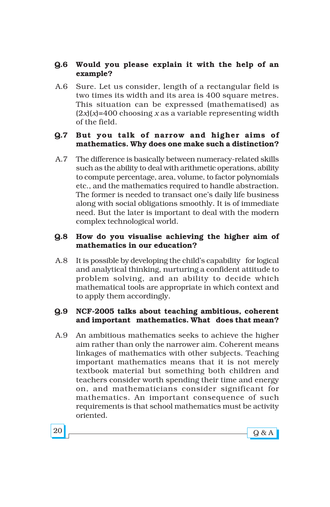# **Q.6 Would you please explain it with the help of an example?**

A.6 Sure. Let us consider, length of a rectangular field is two times its width and its area is 400 square metres. This situation can be expressed (mathematised) as  $(2x)(x)=400$  choosing *x* as a variable representing width of the field.

## **Q.7 But you talk of narrow and higher aims of mathematics. Why does one make such a distinction?**

A.7 The difference is basically between numeracy-related skills such as the ability to deal with arithmetic operations, ability to compute percentage, area, volume, to factor polynomials etc., and the mathematics required to handle abstraction. The former is needed to transact one's daily life business along with social obligations smoothly. It is of immediate need. But the later is important to deal with the modern complex technological world.

## **Q.8 How do you visualise achieving the higher aim of mathematics in our education?**

A.8 It is possible by developing the child's capability for logical and analytical thinking, nurturing a confident attitude to problem solving, and an ability to decide which mathematical tools are appropriate in which context and to apply them accordingly.

# **Q.9 NCF-2005 talks about teaching ambitious, coherent and important mathematics. What does that mean?**

A.9 An ambitious mathematics seeks to achieve the higher aim rather than only the narrower aim. Coherent means linkages of mathematics with other subjects. Teaching important mathematics means that it is not merely textbook material but something both children and teachers consider worth spending their time and energy on, and mathematicians consider significant for mathematics. An important consequence of such requirements is that school mathematics must be activity oriented.

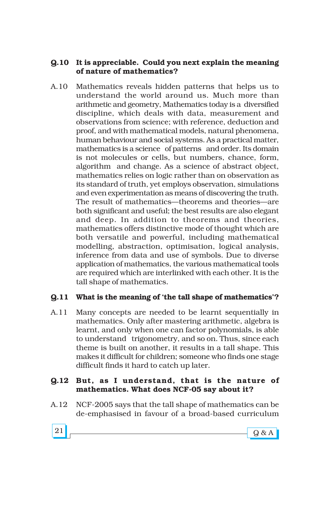## **Q.10 It is appreciable. Could you next explain the meaning of nature of mathematics?**

A.10 Mathematics reveals hidden patterns that helps us to understand the world around us. Much more than arithmetic and geometry, Mathematics today is a diversified discipline, which deals with data, measurement and observations from science; with reference, deduction and proof, and with mathematical models, natural phenomena, human behaviour and social systems. As a practical matter, mathematics is a science of patterns and order. Its domain is not molecules or cells, but numbers, chance, form, algorithm and change. As a science of abstract object, mathematics relies on logic rather than on observation as its standard of truth, yet employs observation, simulations and even experimentation as means of discovering the truth. The result of mathematics—theorems and theories—are both significant and useful; the best results are also elegant and deep. In addition to theorems and theories, mathematics offers distinctive mode of thought which are both versatile and powerful, including mathematical modelling, abstraction, optimisation, logical analysis, inference from data and use of symbols. Due to diverse application of mathematics, the various mathematical tools are required which are interlinked with each other. It is the tall shape of mathematics.

# **Q.11 What is the meaning of ëthe tall shape of mathematicsí?**

A.11 Many concepts are needed to be learnt sequentially in mathematics. Only after mastering arithmetic, algebra is learnt, and only when one can factor polynomials, is able to understand trigonometry, and so on. Thus, since each theme is built on another, it results in a tall shape. This makes it difficult for children; someone who finds one stage difficult finds it hard to catch up later.

# **Q.12 But, as I understand, that is the nature of mathematics. What does NCF-05 say about it?**

A.12 NCF-2005 says that the tall shape of mathematics can be de-emphasised in favour of a broad-based curriculum

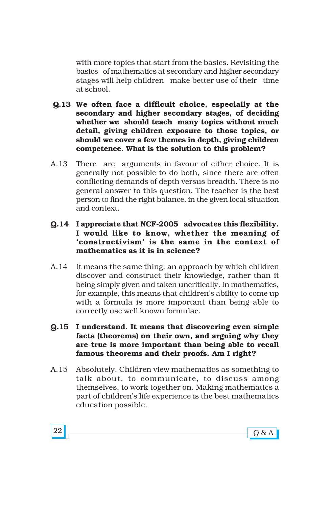with more topics that start from the basics. Revisiting the basics of mathematics at secondary and higher secondary stages will help children make better use of their time at school.

- **Q.13 We often face a difficult choice, especially at the secondary and higher secondary stages, of deciding whether we should teach many topics without much detail, giving children exposure to those topics, or should we cover a few themes in depth, giving children competence. What is the solution to this problem?**
- A.13 There are arguments in favour of either choice. It is generally not possible to do both, since there are often conflicting demands of depth versus breadth. There is no general answer to this question. The teacher is the best person to find the right balance, in the given local situation and context.
- **Q.14 I appreciate that NCF-2005 advocates this flexibility. I would like to know, whether the meaning of ëconstructivismí is the same in the context of mathematics as it is in science?**
- A.14 It means the same thing; an approach by which children discover and construct their knowledge, rather than it being simply given and taken uncritically. In mathematics, for example, this means that children's ability to come up with a formula is more important than being able to correctly use well known formulae.
- **Q.15 I understand. It means that discovering even simple facts (theorems) on their own, and arguing why they are true is more important than being able to recall famous theorems and their proofs. Am I right?**
- A.15 Absolutely. Children view mathematics as something to talk about, to communicate, to discuss among themselves, to work together on. Making mathematics a part of children's life experience is the best mathematics education possible.

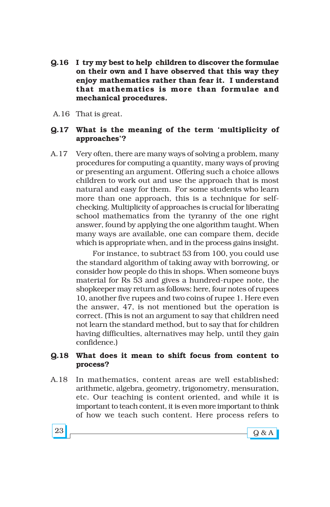- **Q.16 I try my best to help children to discover the formulae on their own and I have observed that this way they enjoy mathematics rather than fear it. I understand that mathematics is more than formulae and mechanical procedures.**
- A.16 That is great.

#### **Q.17 What is the meaning of the term ëmultiplicity of approachesí?**

A.17 Very often, there are many ways of solving a problem, many procedures for computing a quantity, many ways of proving or presenting an argument. Offering such a choice allows children to work out and use the approach that is most natural and easy for them. For some students who learn more than one approach, this is a technique for selfchecking. Multiplicity of approaches is crucial for liberating school mathematics from the tyranny of the one right answer, found by applying the one algorithm taught. When many ways are available, one can compare them, decide which is appropriate when, and in the process gains insight.

> For instance, to subtract 53 from 100, you could use the standard algorithm of taking away with borrowing, or consider how people do this in shops. When someone buys material for Rs 53 and gives a hundred-rupee note, the shopkeeper may return as follows: here, four notes of rupees 10, another five rupees and two coins of rupee 1. Here even the answer, 47, is not mentioned but the operation is correct. (This is not an argument to say that children need not learn the standard method, but to say that for children having difficulties, alternatives may help, until they gain confidence.)

#### **Q.18 What does it mean to shift focus from content to process?**

A.18 In mathematics, content areas are well established: arithmetic, algebra, geometry, trigonometry, mensuration, etc. Our teaching is content oriented, and while it is important to teach content, it is even more important to think of how we teach such content. Here process refers to

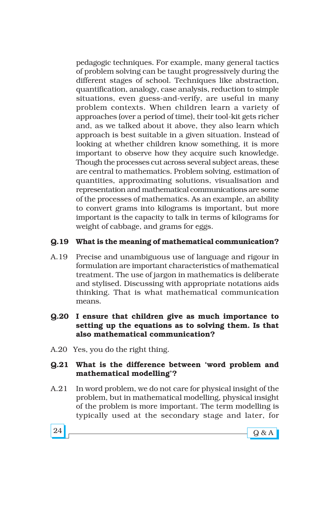pedagogic techniques. For example, many general tactics of problem solving can be taught progressively during the different stages of school. Techniques like abstraction, quantification, analogy, case analysis, reduction to simple situations, even guess-and-verify, are useful in many problem contexts. When children learn a variety of approaches (over a period of time), their tool-kit gets richer and, as we talked about it above, they also learn which approach is best suitable in a given situation. Instead of looking at whether children know something, it is more important to observe how they acquire such knowledge. Though the processes cut across several subject areas, these are central to mathematics. Problem solving, estimation of quantities, approximating solutions, visualisation and representation and mathematical communications are some of the processes of mathematics. As an example, an ability to convert grams into kilograms is important, but more important is the capacity to talk in terms of kilograms for weight of cabbage, and grams for eggs.

## **Q.19 What is the meaning of mathematical communication?**

- A.19 Precise and unambiguous use of language and rigour in formulation are important characteristics of mathematical treatment. The use of jargon in mathematics is deliberate and stylised. Discussing with appropriate notations aids thinking. That is what mathematical communication means.
- **Q.20 I ensure that children give as much importance to setting up the equations as to solving them. Is that also mathematical communication?**
- A.20 Yes, you do the right thing.

## **Q.21 What is the difference between ëword problem and mathematical modellingí?**

A.21 In word problem, we do not care for physical insight of the problem, but in mathematical modelling, physical insight of the problem is more important. The term modelling is typically used at the secondary stage and later, for

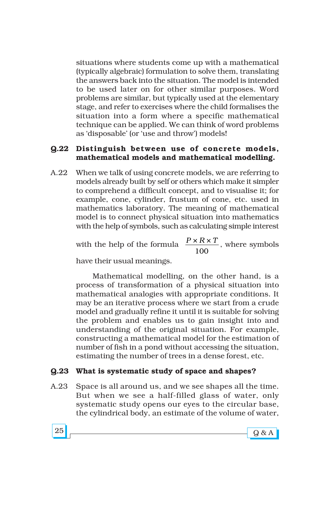situations where students come up with a mathematical (typically algebraic) formulation to solve them, translating the answers back into the situation. The model is intended to be used later on for other similar purposes. Word problems are similar, but typically used at the elementary stage, and refer to exercises where the child formalises the situation into a form where a specific mathematical technique can be applied. We can think of word problems as 'disposable' (or 'use and throw') models!

### **Q.22 Distinguish between use of concrete models, mathematical models and mathematical modelling.**

A.22 When we talk of using concrete models, we are referring to models already built by self or others which make it simpler to comprehend a difficult concept, and to visualise it; for example, cone, cylinder, frustum of cone, etc. used in mathematics laboratory. The meaning of mathematical model is to connect physical situation into mathematics with the help of symbols, such as calculating simple interest

with the help of the formula  $\frac{P \times R \times T}{100}$ , where symbols

have their usual meanings.

Mathematical modelling, on the other hand, is a process of transformation of a physical situation into mathematical analogies with appropriate conditions. It may be an iterative process where we start from a crude model and gradually refine it until it is suitable for solving the problem and enables us to gain insight into and understanding of the original situation. For example, constructing a mathematical model for the estimation of number of fish in a pond without accessing the situation, estimating the number of trees in a dense forest, etc.

## **Q.23 What is systematic study of space and shapes?**

A.23 Space is all around us, and we see shapes all the time. But when we see a half-filled glass of water, only systematic study opens our eyes to the circular base, the cylindrical body, an estimate of the volume of water,

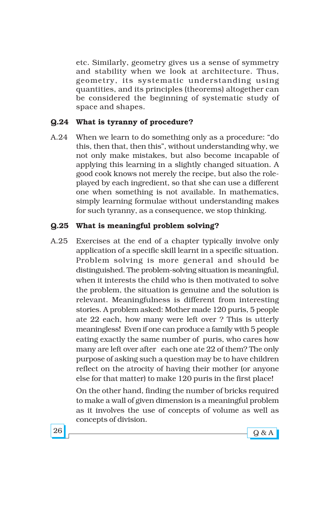etc. Similarly, geometry gives us a sense of symmetry and stability when we look at architecture. Thus, geometry, its systematic understanding using quantities, and its principles (theorems) altogether can be considered the beginning of systematic study of space and shapes.

#### **Q.24 What is tyranny of procedure?**

A.24 When we learn to do something only as a procedure: "do this, then that, then this", without understanding why, we not only make mistakes, but also become incapable of applying this learning in a slightly changed situation. A good cook knows not merely the recipe, but also the roleplayed by each ingredient, so that she can use a different one when something is not available. In mathematics, simply learning formulae without understanding makes for such tyranny, as a consequence, we stop thinking.

## **Q.25 What is meaningful problem solving?**

A.25 Exercises at the end of a chapter typically involve only application of a specific skill learnt in a specific situation. Problem solving is more general and should be distinguished. The problem-solving situation is meaningful, when it interests the child who is then motivated to solve the problem, the situation is genuine and the solution is relevant. Meaningfulness is different from interesting stories. A problem asked: Mother made 120 puris, 5 people ate 22 each, how many were left over ? This is utterly meaningless! Even if one can produce a family with 5 people eating exactly the same number of puris, who cares how many are left over after each one ate 22 of them? The only purpose of asking such a question may be to have children reflect on the atrocity of having their mother (or anyone else for that matter) to make 120 puris in the first place!

> On the other hand, finding the number of bricks required to make a wall of given dimension is a meaningful problem as it involves the use of concepts of volume as well as concepts of division.

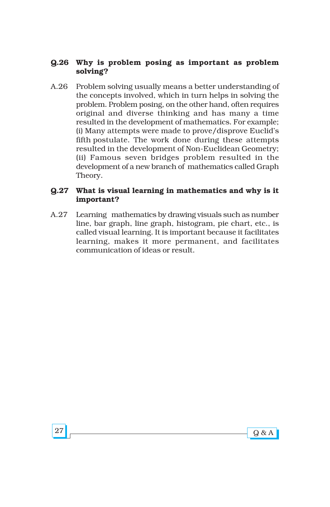## **Q.26 Why is problem posing as important as problem solving?**

A.26 Problem solving usually means a better understanding of the concepts involved, which in turn helps in solving the problem. Problem posing, on the other hand, often requires original and diverse thinking and has many a time resulted in the development of mathematics. For example; (i) Many attempts were made to prove/disprove Euclidís fifth postulate. The work done during these attempts resulted in the development of Non-Euclidean Geometry; (ii) Famous seven bridges problem resulted in the development of a new branch of mathematics called Graph Theory.

## **Q.27 What is visual learning in mathematics and why is it important?**

A.27 Learning mathematics by drawing visuals such as number line, bar graph, line graph, histogram, pie chart, etc., is called visual learning. It is important because it facilitates learning, makes it more permanent, and facilitates communication of ideas or result.

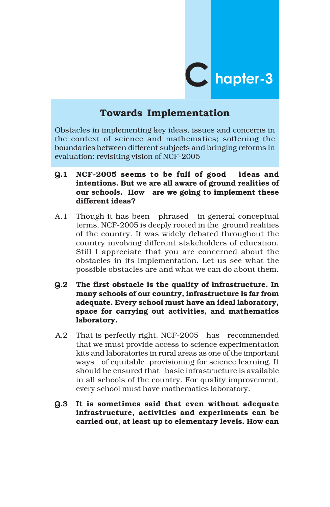

# **Towards Implementation**

Obstacles in implementing key ideas, issues and concerns in the context of science and mathematics; softening the boundaries between different subjects and bringing reforms in evaluation: revisiting vision of NCF-2005

- **Q.1 NCF-2005 seems to be full of good ideas and intentions. But we are all aware of ground realities of our schools. How are we going to implement these different ideas?**
- A.1 Though it has been phrased in general conceptual terms, NCF-2005 is deeply rooted in the ground realities of the country. It was widely debated throughout the country involving different stakeholders of education. Still I appreciate that you are concerned about the obstacles in its implementation. Let us see what the possible obstacles are and what we can do about them.
- **Q.2 The first obstacle is the quality of infrastructure. In many schools of our country, infrastructure is far from adequate. Every school must have an ideal laboratory, space for carrying out activities, and mathematics laboratory.**
- A.2 That is perfectly right. NCF-2005 has recommended that we must provide access to science experimentation kits and laboratories in rural areas as one of the important ways of equitable provisioning for science learning. It should be ensured that basic infrastructure is available in all schools of the country. For quality improvement, every school must have mathematics laboratory.
- **Q.3 It is sometimes said that even without adequate infrastructure, activities and experiments can be carried out, at least up to elementary levels. How can**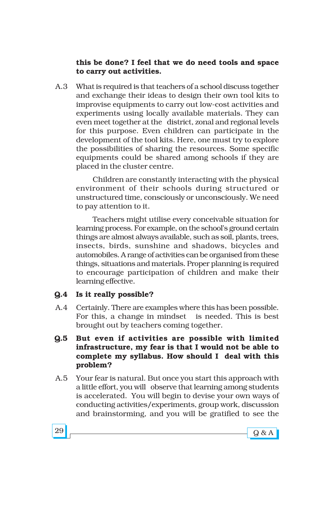## **this be done? I feel that we do need tools and space to carry out activities.**

A.3 What is required is that teachers of a school discuss together and exchange their ideas to design their own tool kits to improvise equipments to carry out low-cost activities and experiments using locally available materials. They can even meet together at the district, zonal and regional levels for this purpose. Even children can participate in the development of the tool kits. Here, one must try to explore the possibilities of sharing the resources. Some specific equipments could be shared among schools if they are placed in the cluster centre.

Children are constantly interacting with the physical environment of their schools during structured or unstructured time, consciously or unconsciously. We need to pay attention to it.

Teachers might utilise every conceivable situation for learning process. For example, on the school's ground certain things are almost always available, such as soil, plants, trees, insects, birds, sunshine and shadows, bicycles and automobiles. A range of activities can be organised from these things, situations and materials. Proper planning is required to encourage participation of children and make their learning effective.

## **Q.4 Is it really possible?**

- A.4 Certainly. There are examples where this has been possible. For this, a change in mindset is needed. This is best brought out by teachers coming together.
- **Q.5 But even if activities are possible with limited infrastructure, my fear is that I would not be able to complete my syllabus. How should I deal with this problem?**
- A.5 Your fear is natural. But once you start this approach with a little effort, you will observe that learning among students is accelerated. You will begin to devise your own ways of conducting activities/experiments, group work, discussion and brainstorming, and you will be gratified to see the



 $29$  Q & A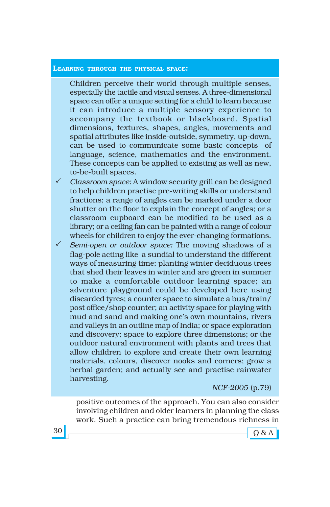#### **LEARNING THROUGH THE PHYSICAL SPACE:**

Children perceive their world through multiple senses, especially the tactile and visual senses. A three-dimensional space can offer a unique setting for a child to learn because it can introduce a multiple sensory experience to accompany the textbook or blackboard. Spatial dimensions, textures, shapes, angles, movements and spatial attributes like inside-outside, symmetry, up-down, can be used to communicate some basic concepts of language, science, mathematics and the environment. These concepts can be applied to existing as well as new, to-be-built spaces.

- ! *Classroom space:* A window security grill can be designed to help children practise pre-writing skills or understand fractions; a range of angles can be marked under a door shutter on the floor to explain the concept of angles; or a classroom cupboard can be modified to be used as a library; or a ceiling fan can be painted with a range of colour wheels for children to enjoy the ever-changing formations.
- ! *Semi-open or outdoor space:* The moving shadows of a flag-pole acting like a sundial to understand the different ways of measuring time; planting winter deciduous trees that shed their leaves in winter and are green in summer to make a comfortable outdoor learning space; an adventure playground could be developed here using discarded tyres; a counter space to simulate a bus/train/ post office/shop counter; an activity space for playing with mud and sand and making one's own mountains, rivers and valleys in an outline map of India; or space exploration and discovery; space to explore three dimensions; or the outdoor natural environment with plants and trees that allow children to explore and create their own learning materials, colours, discover nooks and corners; grow a herbal garden; and actually see and practise rainwater harvesting.

*NCF-2005* (p.79)

positive outcomes of the approach. You can also consider involving children and older learners in planning the class work. Such a practice can bring tremendous richness in

 $30$   $\sim$   $9$  & A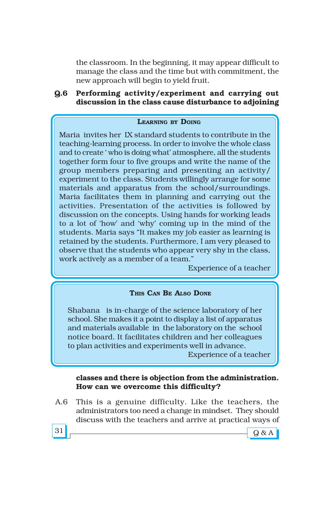the classroom. In the beginning, it may appear difficult to manage the class and the time but with commitment, the new approach will begin to yield fruit.

## **Q.6 Performing activity/experiment and carrying out discussion in the class cause disturbance to adjoining**

#### **LEARNING BY DOING**

Maria invites her IX standard students to contribute in the teaching-learning process. In order to involve the whole class and to create 'who is doing what' atmosphere, all the students together form four to five groups and write the name of the group members preparing and presenting an activity/ experiment to the class. Students willingly arrange for some materials and apparatus from the school/surroundings. Maria facilitates them in planning and carrying out the activities. Presentation of the activities is followed by discussion on the concepts. Using hands for working leads to a lot of ëhowí and ëwhyí coming up in the mind of the students. Maria says "It makes my job easier as learning is retained by the students. Furthermore, I am very pleased to observe that the students who appear very shy in the class, work actively as a member of a team."

Experience of a teacher

#### **THIS CAN BE ALSO DONE**

Shabana is in-charge of the science laboratory of her school. She makes it a point to display a list of apparatus and materials available in the laboratory on the school notice board. It facilitates children and her colleagues to plan activities and experiments well in advance.

Experience of a teacher

### **classes and there is objection from the administration. How can we overcome this difficulty?**

A.6 This is a genuine difficulty. Like the teachers, the administrators too need a change in mindset. They should discuss with the teachers and arrive at practical ways of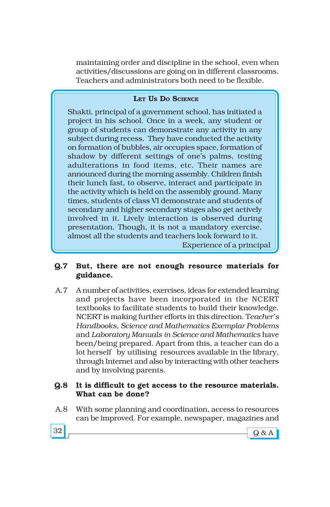maintaining order and discipline in the school, even when activities/discussions are going on in different classrooms. Teachers and administrators both need to be flexible.

## **LET US DO SCIENCE**

Shakti, principal of a government school, has initiated a project in his school. Once in a week, any student or group of students can demonstrate any activity in any subject during recess. They have conducted the activity on formation of bubbles, air occupies space, formation of shadow by different settings of one's palms, testing adulterations in food items, etc. Their names are announced during the morning assembly. Children finish their lunch fast, to observe, interact and participate in the activity which is held on the assembly ground. Many times, students of class VI demonstrate and students of secondary and higher secondary stages also get actively involved in it. Lively interaction is observed during presentation. Though, it is not a mandatory exercise, almost all the students and teachers look forward to it. Experience of a principal

## **Q.7 But, there are not enough resource materials for guidance.**

A.7 A number of activities, exercises, ideas for extended learning and projects have been incorporated in the NCERT textbooks to facilitate students to build their knowledge. NCERT is making further efforts in this direction. T*eacherís Handbooks, Science and Mathematics Exemplar Problems* and *Laboratory Manuals in Science and Mathematics* have been/being prepared. Apart from this, a teacher can do a lot herself by utilising resources available in the library, through Internet and also by interacting with other teachers and by involving parents.

## **Q.8 It is difficult to get access to the resource materials. What can be done?**

A.8 With some planning and coordination, access to resources can be improved. For example, newspaper, magazines and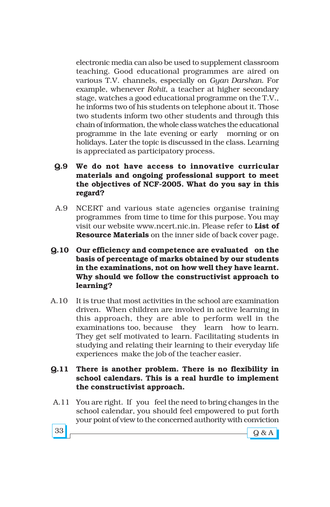electronic media can also be used to supplement classroom teaching. Good educational programmes are aired on various T.V. channels, especially on *Gyan Darshan*. For example, whenever *Rohit*, a teacher at higher secondary stage, watches a good educational programme on the T.V., he informs two of his students on telephone about it. Those two students inform two other students and through this chain of information, the whole class watches the educational programme in the late evening or early morning or on holidays. Later the topic is discussed in the class. Learning is appreciated as participatory process.

## **Q.9 We do not have access to innovative curricular materials and ongoing professional support to meet the objectives of NCF-2005. What do you say in this regard?**

- A.9 NCERT and various state agencies organise training programmes from time to time for this purpose. You may visit our website www.ncert.nic.in. Please refer to **List of Resource Materials** on the inner side of back cover page.
- **Q.10 Our efficiency and competence are evaluated on the basis of percentage of marks obtained by our students in the examinations, not on how well they have learnt. Why should we follow the constructivist approach to learning?**
- A.10 It is true that most activities in the school are examination driven. When children are involved in active learning in this approach, they are able to perform well in the examinations too, because they learn how to learn. They get self motivated to learn. Facilitating students in studying and relating their learning to their everyday life experiences make the job of the teacher easier.

## **Q.11 There is another problem. There is no flexibility in school calendars. This is a real hurdle to implement the constructivist approach.**

 A.11 You are right. If you feel the need to bring changes in the school calendar, you should feel empowered to put forth your point of view to the concerned authority with conviction

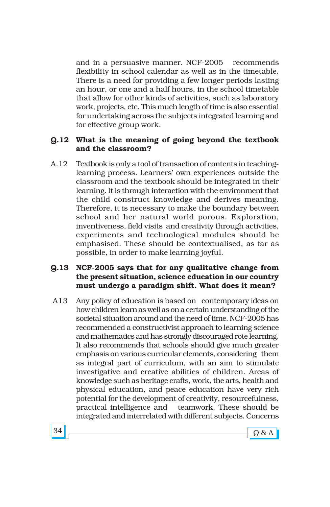and in a persuasive manner. NCF-2005 recommends flexibility in school calendar as well as in the timetable. There is a need for providing a few longer periods lasting an hour, or one and a half hours, in the school timetable that allow for other kinds of activities, such as laboratory work, projects, etc. This much length of time is also essential for undertaking across the subjects integrated learning and for effective group work.

#### **Q.12 What is the meaning of going beyond the textbook and the classroom?**

A.12 Textbook is only a tool of transaction of contents in teachinglearning process. Learners' own experiences outside the classroom and the textbook should be integrated in their learning. It is through interaction with the environment that the child construct knowledge and derives meaning. Therefore, it is necessary to make the boundary between school and her natural world porous. Exploration, inventiveness, field visits and creativity through activities, experiments and technological modules should be emphasised. These should be contextualised, as far as possible, in order to make learning joyful.

## **Q.13 NCF-2005 says that for any qualitative change from the present situation, science education in our country must undergo a paradigm shift. What does it mean?**

A13 Any policy of education is based on contemporary ideas on how children learn as well as on a certain understanding of the societal situation around and the need of time. NCF-2005 has recommended a constructivist approach to learning science and mathematics and has strongly discouraged rote learning. It also recommends that schools should give much greater emphasis on various curricular elements, considering them as integral part of curriculum, with an aim to stimulate investigative and creative abilities of children. Areas of knowledge such as heritage crafts, work, the arts, health and physical education, and peace education have very rich potential for the development of creativity, resourcefulness, practical intelligence and teamwork. These should be integrated and interrelated with different subjects. Concerns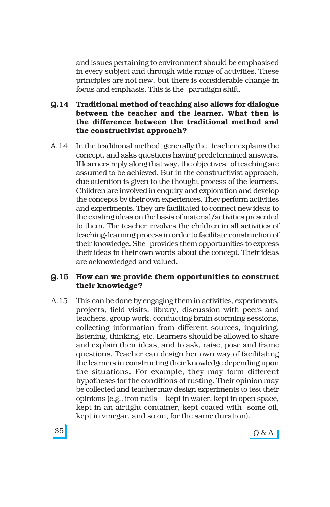and issues pertaining to environment should be emphasised in every subject and through wide range of activities. These principles are not new, but there is considerable change in focus and emphasis. This is the paradigm shift.

- **Q.14 Traditional method of teaching also allows for dialogue between the teacher and the learner. What then is the difference between the traditional method and the constructivist approach?**
- A.14 In the traditional method, generally the teacher explains the concept, and asks questions having predetermined answers. If learners reply along that way, the objectives of teaching are assumed to be achieved. But in the constructivist approach, due attention is given to the thought process of the learners. Children are involved in enquiry and exploration and develop the concepts by their own experiences. They perform activities and experiments. They are facilitated to connect new ideas to the existing ideas on the basis of material/activities presented to them. The teacher involves the children in all activities of teaching-learning process in order to facilitate construction of their knowledge. She provides them opportunities to express their ideas in their own words about the concept. Their ideas are acknowledged and valued.

## **Q.15 How can we provide them opportunities to construct their knowledge?**

A.15 This can be done by engaging them in activities, experiments, projects, field visits, library, discussion with peers and teachers, group work, conducting brain storming sessions, collecting information from different sources, inquiring, listening, thinking, etc. Learners should be allowed to share and explain their ideas, and to ask, raise, pose and frame questions. Teacher can design her own way of facilitating the learners in constructing their knowledge depending upon the situations. For example, they may form different hypotheses for the conditions of rusting. Their opinion may be collected and teacher may design experiments to test their opinions (e.g., iron nails—kept in water, kept in open space, kept in an airtight container, kept coated with some oil, kept in vinegar, and so on, for the same duration).

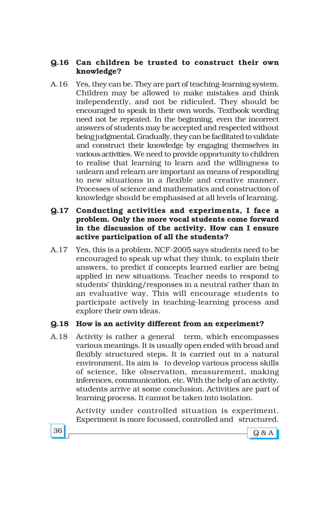## **Q.16 Can children be trusted to construct their own knowledge?**

- A.16 Yes, they can be. They are part of teaching-learning system. Children may be allowed to make mistakes and think independently, and not be ridiculed. They should be encouraged to speak in their own words. Textbook wording need not be repeated. In the beginning, even the incorrect answers of students may be accepted and respected without being judgmental. Gradually, they can be facilitated to validate and construct their knowledge by engaging themselves in various activities. We need to provide opportunity to children to realise that learning to learn and the willingness to unlearn and relearn are important as means of responding to new situations in a flexible and creative manner. Processes of science and mathematics and construction of knowledge should be emphasised at all levels of learning.
- **Q.17 Conducting activities and experiments, I face a problem. Only the more vocal students come forward in the discussion of the activity. How can I ensure active participation of all the students?**
- A.17 Yes, this is a problem. NCF-2005 says students need to be encouraged to speak up what they think, to explain their answers, to predict if concepts learned earlier are being applied in new situations. Teacher needs to respond to students' thinking/responses in a neutral rather than in an evaluative way. This will encourage students to participate actively in teaching-learning process and explore their own ideas.

## **Q.18 How is an activity different from an experiment?**

A.18 Activity is rather a general term, which encompasses various meanings. It is usually open ended with broad and flexibly structured steps. It is carried out in a natural environment. Its aim is to develop various process skills of science, like observation, measurement, making inferences, communication, etc. With the help of an activity, students arrive at some conclusion. Activities are part of learning process. It cannot be taken into isolation.

> Activity under controlled situation is experiment. Experiment is more focussed, controlled and structured.

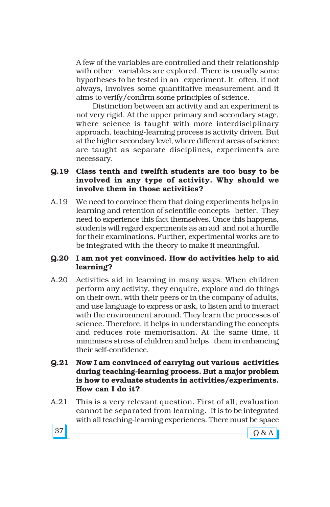A few of the variables are controlled and their relationship with other variables are explored. There is usually some hypotheses to be tested in an experiment. It often, if not always, involves some quantitative measurement and it aims to verify/confirm some principles of science.

Distinction between an activity and an experiment is not very rigid. At the upper primary and secondary stage, where science is taught with more interdisciplinary approach, teaching-learning process is activity driven. But at the higher secondary level, where different areas of science are taught as separate disciplines, experiments are necessary.

## **Q.19 Class tenth and twelfth students are too busy to be involved in any type of activity. Why should we involve them in those activities?**

A.19 We need to convince them that doing experiments helps in learning and retention of scientific concepts better. They need to experience this fact themselves. Once this happens, students will regard experiments as an aid and not a hurdle for their examinations. Further, experimental works are to be integrated with the theory to make it meaningful.

## **Q.20 I am not yet convinced. How do activities help to aid learning?**

A.20 Activities aid in learning in many ways. When children perform any activity, they enquire, explore and do things on their own, with their peers or in the company of adults, and use language to express or ask, to listen and to interact with the environment around. They learn the processes of science. Therefore, it helps in understanding the concepts and reduces rote memorisation. At the same time, it minimises stress of children and helps them in enhancing their self-confidence.

### **Q.21 Now I am convinced of carrying out various activities during teaching-learning process. But a major problem is how to evaluate students in activities/experiments. How can I do it?**

A.21 This is a very relevant question. First of all, evaluation cannot be separated from learning. It is to be integrated with all teaching-learning experiences. There must be space



 $37 \fbox{g} \& A$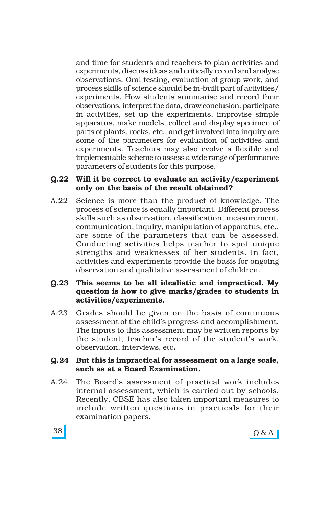and time for students and teachers to plan activities and experiments, discuss ideas and critically record and analyse observations. Oral testing, evaluation of group work, and process skills of science should be in-built part of activities/ experiments. How students summarise and record their observations, interpret the data, draw conclusion, participate in activities, set up the experiments, improvise simple apparatus, make models, collect and display specimen of parts of plants, rocks, etc., and get involved into inquiry are some of the parameters for evaluation of activities and experiments. Teachers may also evolve a flexible and implementable scheme to assess a wide range of performance parameters of students for this purpose.

#### **Q.22 Will it be correct to evaluate an activity/experiment only on the basis of the result obtained?**

A.22 Science is more than the product of knowledge. The process of science is equally important. Different process skills such as observation, classification, measurement, communication, inquiry, manipulation of apparatus, etc., are some of the parameters that can be assessed. Conducting activities helps teacher to spot unique strengths and weaknesses of her students. In fact, activities and experiments provide the basis for ongoing observation and qualitative assessment of children.

## **Q.23 This seems to be all idealistic and impractical. My question is how to give marks/grades to students in activities/experiments.**

A.23 Grades should be given on the basis of continuous assessment of the child's progress and accomplishment. The inputs to this assessment may be written reports by the student, teacher's record of the student's work, observation, interviews, etc**.**

### **Q.24 But this is impractical for assessment on a large scale, such as at a Board Examination.**

A.24 The Board's assessment of practical work includes internal assessment, which is carried out by schools. Recently, CBSE has also taken important measures to include written questions in practicals for their examination papers.

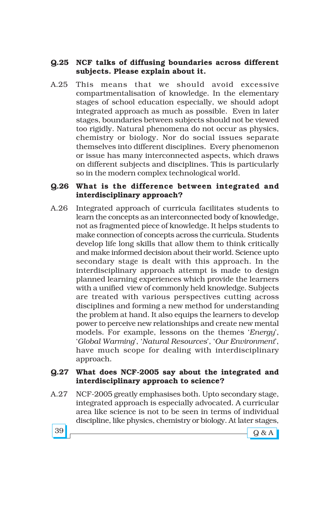## **Q.25 NCF talks of diffusing boundaries across different subjects. Please explain about it.**

A.25 This means that we should avoid excessive compartmentalisation of knowledge. In the elementary stages of school education especially, we should adopt integrated approach as much as possible. Even in later stages, boundaries between subjects should not be viewed too rigidly. Natural phenomena do not occur as physics, chemistry or biology. Nor do social issues separate themselves into different disciplines. Every phenomenon or issue has many interconnected aspects, which draws on different subjects and disciplines. This is particularly so in the modern complex technological world.

## **Q.26 What is the difference between integrated and interdisciplinary approach?**

A.26 Integrated approach of curricula facilitates students to learn the concepts as an interconnected body of knowledge, not as fragmented piece of knowledge. It helps students to make connection of concepts across the curricula. Students develop life long skills that allow them to think critically and make informed decision about their world. Science upto secondary stage is dealt with this approach. In the interdisciplinary approach attempt is made to design planned learning experiences which provide the learners with a unified view of commonly held knowledge. Subjects are treated with various perspectives cutting across disciplines and forming a new method for understanding the problem at hand. It also equips the learners to develop power to perceive new relationships and create new mental models. For example, lessons on the themes '*Energy*', ë*Global Warming*í, ë*Natural Resources*í, ë*Our Environment*í, have much scope for dealing with interdisciplinary approach.

## **Q.27 What does NCF-2005 say about the integrated and interdisciplinary approach to science?**

A.27 NCF-2005 greatly emphasises both. Upto secondary stage, integrated approach is especially advocated. A curricular area like science is not to be seen in terms of individual discipline, like physics, chemistry or biology. At later stages,

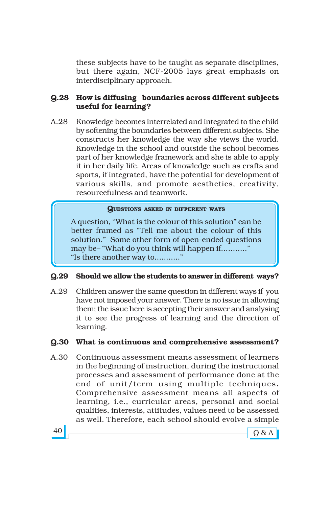these subjects have to be taught as separate disciplines, but there again, NCF-2005 lays great emphasis on interdisciplinary approach.

## **Q.28 How is diffusing boundaries across different subjects useful for learning?**

A.28 Knowledge becomes interrelated and integrated to the child by softening the boundaries between different subjects. She constructs her knowledge the way she views the world. Knowledge in the school and outside the school becomes part of her knowledge framework and she is able to apply it in her daily life. Areas of knowledge such as crafts and sports, if integrated, have the potential for development of various skills, and promote aesthetics, creativity, resourcefulness and teamwork.

#### **QUESTIONS ASKED IN DIFFERENT WAYS**

A question, "What is the colour of this solution" can be better framed as "Tell me about the colour of this solution." Some other form of open-ended questions may be- "What do you think will happen if............" "Is there another way to............."

#### **Q.29 Should we allow the students to answer in different ways?**

A.29 Children answer the same question in different ways if you have not imposed your answer. There is no issue in allowing them; the issue here is accepting their answer and analysing it to see the progress of learning and the direction of learning.

## **Q.30 What is continuous and comprehensive assessment?**

A.30 Continuous assessment means assessment of learners in the beginning of instruction, during the instructional processes and assessment of performance done at the end of unit/term using multiple techniques**.** Comprehensive assessment means all aspects of learning, i.e., curricular areas, personal and social qualities, interests, attitudes, values need to be assessed as well. Therefore, each school should evolve a simple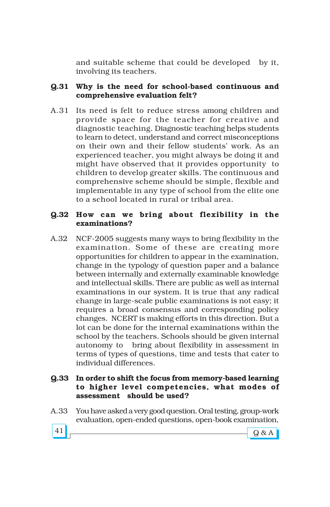and suitable scheme that could be developed by it, involving its teachers.

## **Q.31 Why is the need for school-based continuous and comprehensive evaluation felt?**

A.31 Its need is felt to reduce stress among children and provide space for the teacher for creative and diagnostic teaching. Diagnostic teaching helps students to learn to detect, understand and correct misconceptions on their own and their fellow students' work. As an experienced teacher, you might always be doing it and might have observed that it provides opportunity to children to develop greater skills. The continuous and comprehensive scheme should be simple, flexible and implementable in any type of school from the elite one to a school located in rural or tribal area.

## **Q.32 How can we bring about flexibility in the examinations?**

A.32 NCF-2005 suggests many ways to bring flexibility in the examination. Some of these are creating more opportunities for children to appear in the examination, change in the typology of question paper and a balance between internally and externally examinable knowledge and intellectual skills. There are public as well as internal examinations in our system. It is true that any radical change in large-scale public examinations is not easy; it requires a broad consensus and corresponding policy changes. NCERT is making efforts in this direction. But a lot can be done for the internal examinations within the school by the teachers. Schools should be given internal autonomy to bring about flexibility in assessment in terms of types of questions, time and tests that cater to individual differences.

## **Q.33 In order to shift the focus from memory-based learning to higher level competencies, what modes of assessment should be used?**

A.33 You have asked a very good question. Oral testing, group-work evaluation, open-ended questions, open-book examination,

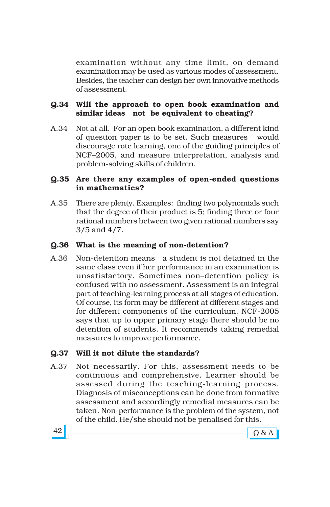examination without any time limit, on demand examination may be used as various modes of assessment. Besides, the teacher can design her own innovative methods of assessment.

## **Q.34 Will the approach to open book examination and similar ideas not be equivalent to cheating?**

A.34 Not at all. For an open book examination, a different kind of question paper is to be set. Such measures would discourage rote learning, one of the guiding principles of NCF-2005, and measure interpretation, analysis and problem-solving skills of children.

## **Q.35 Are there any examples of open-ended questions in mathematics?**

A.35 There are plenty. Examples: finding two polynomials such that the degree of their product is 5; finding three or four rational numbers between two given rational numbers say 3/5 and 4/7.

## **Q.36 What is the meaning of non-detention?**

A.36 Non-detention means a student is not detained in the same class even if her performance in an examination is unsatisfactory. Sometimes non-detention policy is confused with no assessment. Assessment is an integral part of teaching-learning process at all stages of education. Of course, its form may be different at different stages and for different components of the curriculum. NCF-2005 says that up to upper primary stage there should be no detention of students. It recommends taking remedial measures to improve performance.

## **Q.37 Will it not dilute the standards?**

A.37 Not necessarily. For this, assessment needs to be continuous and comprehensive. Learner should be assessed during the teaching-learning process. Diagnosis of misconceptions can be done from formative assessment and accordingly remedial measures can be taken. Non-performance is the problem of the system, not of the child. He/she should not be penalised for this.

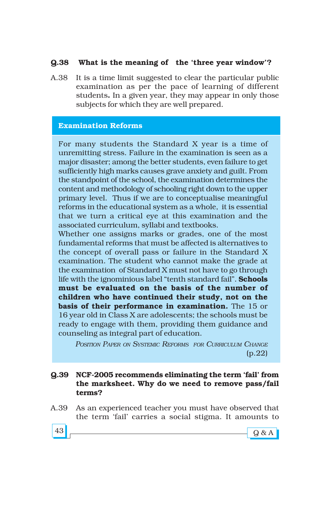## **Q.38** What is the meaning of the 'three year window'?

A.38 It is a time limit suggested to clear the particular public examination as per the pace of learning of different students**.** In a given year, they may appear in only those subjects for which they are well prepared.

### **Examination Reforms**

For many students the Standard X year is a time of unremitting stress. Failure in the examination is seen as a major disaster; among the better students, even failure to get sufficiently high marks causes grave anxiety and guilt. From the standpoint of the school, the examination determines the content and methodology of schooling right down to the upper primary level. Thus if we are to conceptualise meaningful reforms in the educational system as a whole, it is essential that we turn a critical eye at this examination and the associated curriculum, syllabi and textbooks.

Whether one assigns marks or grades, one of the most fundamental reforms that must be affected is alternatives to the concept of overall pass or failure in the Standard X examination. The student who cannot make the grade at the examination of Standard X must not have to go through life with the ignominious label "tenth standard fail". **Schools must be evaluated on the basis of the number of children who have continued their study, not on the basis of their performance in examination.** The 15 or 16 year old in Class X are adolescents; the schools must be ready to engage with them, providing them guidance and counseling as integral part of education.

*POSITION PAPER ON SYSTEMIC REFORMS FOR CURRICULUM CHANGE* (p.22)

#### **Q.39** NCF-2005 recommends eliminating the term 'fail' from **the marksheet. Why do we need to remove pass/fail terms?**

A.39 As an experienced teacher you must have observed that the term 'fail' carries a social stigma. It amounts to

 $43$   $9$  & A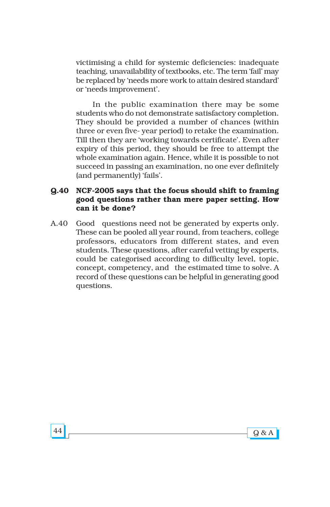victimising a child for systemic deficiencies: inadequate teaching, unavailability of textbooks, etc. The term 'fail' may be replaced by 'needs more work to attain desired standard' or 'needs improvement'.

In the public examination there may be some students who do not demonstrate satisfactory completion. They should be provided a number of chances (within three or even five- year period) to retake the examination. Till then they are 'working towards certificate'. Even after expiry of this period, they should be free to attempt the whole examination again. Hence, while it is possible to not succeed in passing an examination, no one ever definitely (and permanently) 'fails'.

## **Q.40 NCF-2005 says that the focus should shift to framing good questions rather than mere paper setting. How can it be done?**

A.40 Good questions need not be generated by experts only. These can be pooled all year round, from teachers, college professors, educators from different states, and even students. These questions, after careful vetting by experts, could be categorised according to difficulty level, topic, concept, competency, and the estimated time to solve. A record of these questions can be helpful in generating good questions.

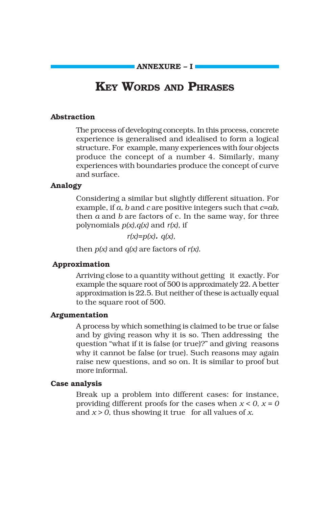**ANNEXURE - I** 

# **KEY WORDS AND PHRASES**

#### **Abstraction**

The process of developing concepts. In this process, concrete experience is generalised and idealised to form a logical structure. For example, many experiences with four objects produce the concept of a number 4. Similarly, many experiences with boundaries produce the concept of curve and surface.

#### **Analogy**

Considering a similar but slightly different situation. For example, if *a, b* and *c* are positive integers such that *c=ab,* then *a* and *b* are factors of c. In the same way, for three polynomials *p(x),q(x)* and *r(x),* if

*r(x)=p(x). q(x),*

then  $p(x)$  and  $q(x)$  are factors of  $r(x)$ .

#### **Approximation**

Arriving close to a quantity without getting it exactly. For example the square root of 500 is approximately 22. A better approximation is 22.5. But neither of these is actually equal to the square root of 500.

#### **Argumentation**

A process by which something is claimed to be true or false and by giving reason why it is so. Then addressing the question "what if it is false (or true)?" and giving reasons why it cannot be false (or true). Such reasons may again raise new questions, and so on. It is similar to proof but more informal.

#### **Case analysis**

Break up a problem into different cases: for instance, providing different proofs for the cases when  $x < 0$ ,  $x = 0$ and *x > 0*, thus showing it true for all values of *x.*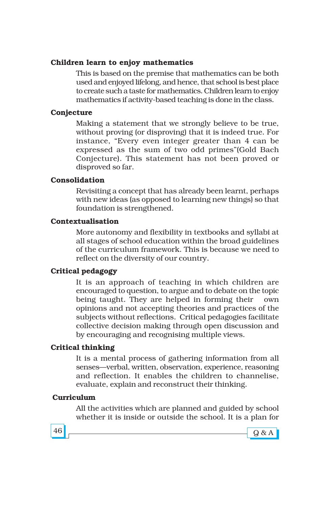## **Children learn to enjoy mathematics**

This is based on the premise that mathematics can be both used and enjoyed lifelong, and hence, that school is best place to create such a taste for mathematics. Children learn to enjoy mathematics if activity-based teaching is done in the class.

### **Conjecture**

Making a statement that we strongly believe to be true, without proving (or disproving) that it is indeed true. For instance, "Every even integer greater than 4 can be expressed as the sum of two odd primes" (Gold Bach Conjecture). This statement has not been proved or disproved so far.

### **Consolidation**

Revisiting a concept that has already been learnt, perhaps with new ideas (as opposed to learning new things) so that foundation is strengthened.

#### **Contextualisation**

More autonomy and flexibility in textbooks and syllabi at all stages of school education within the broad guidelines of the curriculum framework. This is because we need to reflect on the diversity of our country.

## **Critical pedagogy**

It is an approach of teaching in which children are encouraged to question, to argue and to debate on the topic being taught. They are helped in forming their own opinions and not accepting theories and practices of the subjects without reflections. Critical pedagogies facilitate collective decision making through open discussion and by encouraging and recognising multiple views.

## **Critical thinking**

It is a mental process of gathering information from all senses-verbal, written, observation, experience, reasoning and reflection. It enables the children to channelise, evaluate, explain and reconstruct their thinking.

## **Curriculum**

All the activities which are planned and guided by school whether it is inside or outside the school. It is a plan for



 $46$   $\sim$   $9$  & A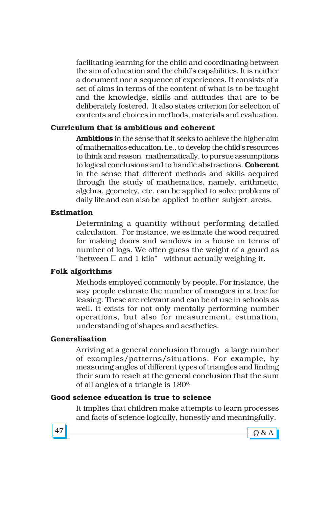facilitating learning for the child and coordinating between the aim of education and the child's capabilities. It is neither a document nor a sequence of experiences. It consists of a set of aims in terms of the content of what is to be taught and the knowledge, skills and attitudes that are to be deliberately fostered. It also states criterion for selection of contents and choices in methods, materials and evaluation.

### **Curriculum that is ambitious and coherent**

**Ambitious** in the sense that it seeks to achieve the higher aim of mathematics education, i.e., to develop the child's resources to think and reason mathematically, to pursue assumptions to logical conclusions and to handle abstractions. **Coherent** in the sense that different methods and skills acquired through the study of mathematics, namely, arithmetic, algebra, geometry, etc. can be applied to solve problems of daily life and can also be applied to other subject areas.

#### **Estimation**

Determining a quantity without performing detailed calculation. For instance, we estimate the wood required for making doors and windows in a house in terms of number of logs. We often guess the weight of a gourd as "between and 1 kilo" without actually weighing it.

#### **Folk algorithms**

Methods employed commonly by people. For instance, the way people estimate the number of mangoes in a tree for leasing. These are relevant and can be of use in schools as well. It exists for not only mentally performing number operations, but also for measurement, estimation, understanding of shapes and aesthetics.

#### **Generalisation**

Arriving at a general conclusion through a large number of examples/patterns/situations. For example, by measuring angles of different types of triangles and finding their sum to reach at the general conclusion that the sum of all angles of a triangle is  $180^{\circ}$ .

#### **Good science education is true to science**

It implies that children make attempts to learn processes and facts of science logically, honestly and meaningfully.



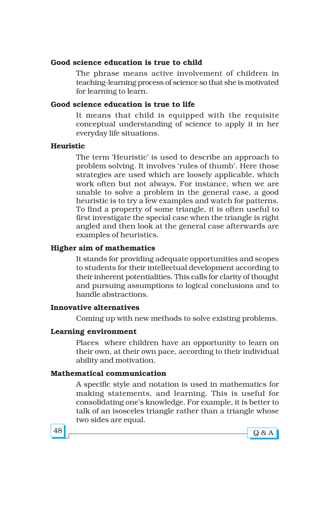## **Good science education is true to child**

The phrase means active involvement of children in teaching-learning process of science so that she is motivated for learning to learn.

## **Good science education is true to life**

It means that child is equipped with the requisite conceptual understanding of science to apply it in her everyday life situations.

### **Heuristic**

The term 'Heuristic' is used to describe an approach to problem solving. It involves 'rules of thumb'. Here those strategies are used which are loosely applicable, which work often but not always. For instance, when we are unable to solve a problem in the general case, a good heuristic is to try a few examples and watch for patterns. To find a property of some triangle, it is often useful to first investigate the special case when the triangle is right angled and then look at the general case afterwards are examples of heuristics.

## **Higher aim of mathematics**

It stands for providing adequate opportunities and scopes to students for their intellectual development according to their inherent potentialities. This calls for clarity of thought and pursuing assumptions to logical conclusions and to handle abstractions.

#### **Innovative alternatives**

Coming up with new methods to solve existing problems.

## **Learning environment**

Places where children have an opportunity to learn on their own, at their own pace, according to their individual ability and motivation.

## **Mathematical communication**

A specific style and notation is used in mathematics for making statements, and learning. This is useful for consolidating one's knowledge. For example, it is better to talk of an isosceles triangle rather than a triangle whose two sides are equal.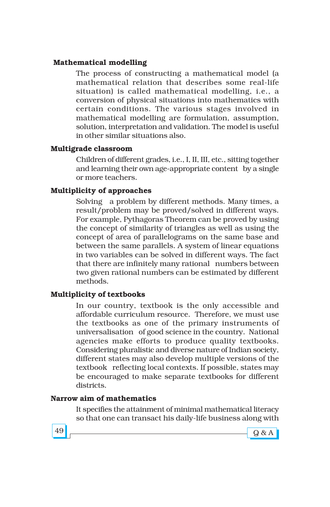## **Mathematical modelling**

The process of constructing a mathematical model (a mathematical relation that describes some real-life situation) is called mathematical modelling, i.e., a conversion of physical situations into mathematics with certain conditions. The various stages involved in mathematical modelling are formulation, assumption, solution, interpretation and validation. The model is useful in other similar situations also.

## **Multigrade classroom**

Children of different grades, i.e., I, II, III, etc., sitting together and learning their own age-appropriate content by a single or more teachers.

## **Multiplicity of approaches**

Solving a problem by different methods. Many times, a result/problem may be proved/solved in different ways. For example, Pythagoras Theorem can be proved by using the concept of similarity of triangles as well as using the concept of area of parallelograms on the same base and between the same parallels. A system of linear equations in two variables can be solved in different ways. The fact that there are infinitely many rational numbers between two given rational numbers can be estimated by different methods.

## **Multiplicity of textbooks**

In our country, textbook is the only accessible and affordable curriculum resource. Therefore, we must use the textbooks as one of the primary instruments of universalisation of good science in the country. National agencies make efforts to produce quality textbooks. Considering pluralistic and diverse nature of Indian society, different states may also develop multiple versions of the textbook reflecting local contexts. If possible, states may be encouraged to make separate textbooks for different districts.

#### **Narrow aim of mathematics**

It specifies the attainment of minimal mathematical literacy so that one can transact his daily-life business along with



 $49$   $98A$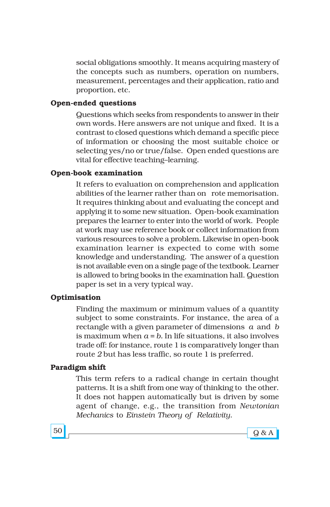social obligations smoothly. It means acquiring mastery of the concepts such as numbers, operation on numbers, measurement, percentages and their application, ratio and proportion, etc.

## **Open-ended questions**

Questions which seeks from respondents to answer in their own words. Here answers are not unique and fixed. It is a contrast to closed questions which demand a specific piece of information or choosing the most suitable choice or selecting yes/no or true/false. Open ended questions are vital for effective teaching-learning.

### **Open-book examination**

It refers to evaluation on comprehension and application abilities of the learner rather than on rote memorisation. It requires thinking about and evaluating the concept and applying it to some new situation. Open-book examination prepares the learner to enter into the world of work. People at work may use reference book or collect information from various resources to solve a problem. Likewise in open-book examination learner is expected to come with some knowledge and understanding. The answer of a question is not available even on a single page of the textbook. Learner is allowed to bring books in the examination hall. Question paper is set in a very typical way.

#### **Optimisation**

Finding the maximum or minimum values of a quantity subject to some constraints. For instance, the area of a rectangle with a given parameter of dimensions *a* and *b* is maximum when  $a = b$ . In life situations, it also involves trade off: for instance, route 1 is comparatively longer than route 2 but has less traffic, so route 1 is preferred.

#### **Paradigm shift**

This term refers to a radical change in certain thought patterns. It is a shift from one way of thinking to the other. It does not happen automatically but is driven by some agent of change, e.g., the transition from *Newtonian Mechanics* to *Einstein Theory of Relativity*.



 $50$   $\sim$   $9$  & A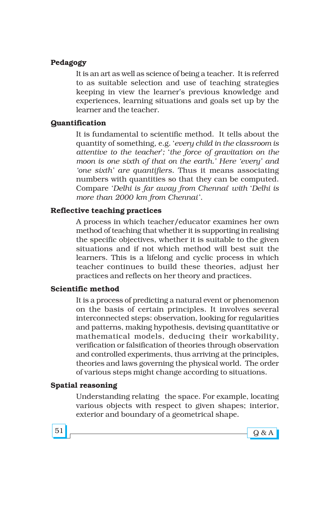#### **Pedagogy**

It is an art as well as science of being a teacher. It is referred to as suitable selection and use of teaching strategies keeping in view the learner's previous knowledge and experiences, learning situations and goals set up by the learner and the teacher.

#### **Quantification**

It is fundamental to scientific method. It tells about the quantity of something, e.g. ë*every child in the classroom is attentive to the teacher*í*;* ë*the force of gravitation on the* moon is one sixth of that on the earth.' Here 'every' and *ëone sixthí are quantifiers*. Thus it means associating numbers with quantities so that they can be computed. Compare 'Delhi is far away from Chennai' with 'Delhi is more than 2000 km from Chennai'.

## **Reflective teaching practices**

A process in which teacher/educator examines her own method of teaching that whether it is supporting in realising the specific objectives, whether it is suitable to the given situations and if not which method will best suit the learners. This is a lifelong and cyclic process in which teacher continues to build these theories, adjust her practices and reflects on her theory and practices.

## **Scientific method**

It is a process of predicting a natural event or phenomenon on the basis of certain principles. It involves several interconnected steps: observation, looking for regularities and patterns, making hypothesis, devising quantitative or mathematical models, deducing their workability, verification or falsification of theories through observation and controlled experiments, thus arriving at the principles, theories and laws governing the physical world. The order of various steps might change according to situations.

#### **Spatial reasoning**

Understanding relating the space. For example, locating various objects with respect to given shapes; interior, exterior and boundary of a geometrical shape.

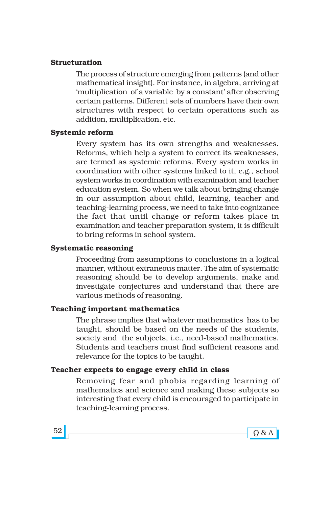#### **Structuration**

The process of structure emerging from patterns (and other mathematical insight). For instance, in algebra, arriving at 'multiplication of a variable by a constant' after observing certain patterns. Different sets of numbers have their own structures with respect to certain operations such as addition, multiplication, etc.

### **Systemic reform**

Every system has its own strengths and weaknesses. Reforms, which help a system to correct its weaknesses, are termed as systemic reforms. Every system works in coordination with other systems linked to it, e.g., school system works in coordination with examination and teacher education system. So when we talk about bringing change in our assumption about child, learning, teacher and teaching-learning process, we need to take into cognizance the fact that until change or reform takes place in examination and teacher preparation system, it is difficult to bring reforms in school system.

#### **Systematic reasoning**

Proceeding from assumptions to conclusions in a logical manner, without extraneous matter. The aim of systematic reasoning should be to develop arguments, make and investigate conjectures and understand that there are various methods of reasoning.

#### **Teaching important mathematics**

The phrase implies that whatever mathematics has to be taught, should be based on the needs of the students, society and the subjects, i.e., need-based mathematics. Students and teachers must find sufficient reasons and relevance for the topics to be taught.

#### **Teacher expects to engage every child in class**

Removing fear and phobia regarding learning of mathematics and science and making these subjects so interesting that every child is encouraged to participate in teaching-learning process.



 $52$   $\sim$   $9$  & A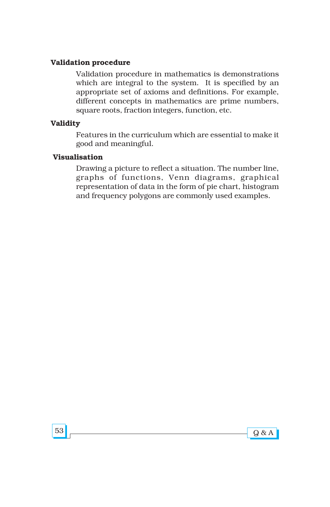### **Validation procedure**

Validation procedure in mathematics is demonstrations which are integral to the system. It is specified by an appropriate set of axioms and definitions. For example, different concepts in mathematics are prime numbers, square roots, fraction integers, function, etc.

#### **Validity**

Features in the curriculum which are essential to make it good and meaningful.

### **Visualisation**

Drawing a picture to reflect a situation. The number line, graphs of functions, Venn diagrams, graphical representation of data in the form of pie chart, histogram and frequency polygons are commonly used examples.

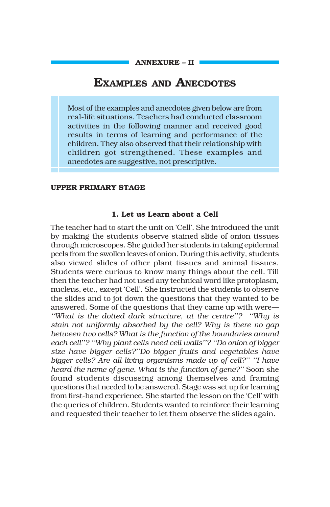# **EXAMPLES AND ANECDOTES**

Most of the examples and anecdotes given below are from real-life situations. Teachers had conducted classroom activities in the following manner and received good results in terms of learning and performance of the children. They also observed that their relationship with children got strengthened. These examples and anecdotes are suggestive, not prescriptive.

#### **UPPER PRIMARY STAGE**

#### **1. Let us Learn about a Cell**

The teacher had to start the unit on 'Cell'. She introduced the unit by making the students observe stained slide of onion tissues through microscopes. She guided her students in taking epidermal peels from the swollen leaves of onion. During this activity, students also viewed slides of other plant tissues and animal tissues. Students were curious to know many things about the cell. Till then the teacher had not used any technical word like protoplasm, nucleus, etc., except 'Cell'. She instructed the students to observe the slides and to jot down the questions that they wanted to be answered. Some of the questions that they came up with were– *E*What is the dotted dark structure, at the centre<sup>3</sup><sup>2</sup> *E*Why is *stain not uniformly absorbed by the cell? Why is there no gap between two cells? What is the function of the boundaries around each cell"? "Why plant cells need cell walls"? "Do onion of bigger* size have bigger cells?"Do bigger fruits and vegetables have bigger cells? Are all living organisms made up of cell?" "I have *heard the name of gene. What is the function of gene?*" Soon she found students discussing among themselves and framing questions that needed to be answered. Stage was set up for learning from first-hand experience. She started the lesson on the 'Cell' with the queries of children. Students wanted to reinforce their learning and requested their teacher to let them observe the slides again.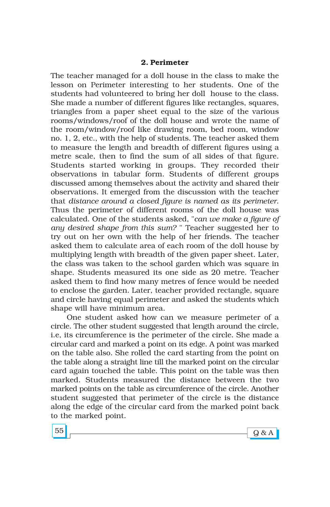#### **2. Perimeter**

The teacher managed for a doll house in the class to make the lesson on Perimeter interesting to her students. One of the students had volunteered to bring her doll house to the class. She made a number of different figures like rectangles, squares, triangles from a paper sheet equal to the size of the various rooms/windows/roof of the doll house and wrote the name of the room/window/roof like drawing room, bed room, window no. 1, 2, etc., with the help of students. The teacher asked them to measure the length and breadth of different figures using a metre scale, then to find the sum of all sides of that figure. Students started working in groups. They recorded their observations in tabular form. Students of different groups discussed among themselves about the activity and shared their observations. It emerged from the discussion with the teacher that *distance around a closed figure is named as its perimeter*. Thus the perimeter of different rooms of the doll house was calculated. One of the students asked, "*can we make a figure of any desired shape from this sum?* " Teacher suggested her to try out on her own with the help of her friends. The teacher asked them to calculate area of each room of the doll house by multiplying length with breadth of the given paper sheet. Later, the class was taken to the school garden which was square in shape. Students measured its one side as 20 metre. Teacher asked them to find how many metres of fence would be needed to enclose the garden. Later, teacher provided rectangle, square and circle having equal perimeter and asked the students which shape will have minimum area.

One student asked how can we measure perimeter of a circle. The other student suggested that length around the circle, i.e, its circumference is the perimeter of the circle. She made a circular card and marked a point on its edge. A point was marked on the table also. She rolled the card starting from the point on the table along a straight line till the marked point on the circular card again touched the table. This point on the table was then marked. Students measured the distance between the two marked points on the table as circumference of the circle. Another student suggested that perimeter of the circle is the distance along the edge of the circular card from the marked point back to the marked point.

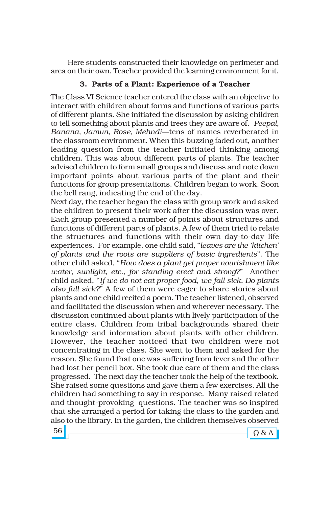Here students constructed their knowledge on perimeter and area on their own. Teacher provided the learning environment for it.

## **3. Parts of a Plant: Experience of a Teacher**

The Class VI Science teacher entered the class with an objective to interact with children about forms and functions of various parts of different plants. She initiated the discussion by asking children to tell something about plants and trees they are aware of*. Peepal,* Banana, Jamun, Rose, Mehndi-tens of names reverberated in the classroom environment. When this buzzing faded out, another leading question from the teacher initiated thinking among children. This was about different parts of plants. The teacher advised children to form small groups and discuss and note down important points about various parts of the plant and their functions for group presentations. Children began to work. Soon the bell rang, indicating the end of the day.

Next day, the teacher began the class with group work and asked the children to present their work after the discussion was over. Each group presented a number of points about structures and functions of different parts of plants. A few of them tried to relate the structures and functions with their own day-to-day life experiences. For example, one child said, "*leaves are the 'kitchen' of plants and the roots are suppliers of basic ingredients*î. The other child asked, "How does a plant get proper nourishment like *water, sunlight, etc., for standing erect and strong*?î Another child asked, ëë*If we do not eat proper food, we fall sick. Do plants also fall sick?*<sup>*'*</sup> A few of them were eager to share stories about plants and one child recited a poem. The teacher listened, observed and facilitated the discussion when and wherever necessary. The discussion continued about plants with lively participation of the entire class. Children from tribal backgrounds shared their knowledge and information about plants with other children. However, the teacher noticed that two children were not concentrating in the class. She went to them and asked for the reason. She found that one was suffering from fever and the other had lost her pencil box. She took due care of them and the class progressed. The next day the teacher took the help of the textbook. She raised some questions and gave them a few exercises. All the children had something to say in response. Many raised related and thought-provoking questions. The teacher was so inspired that she arranged a period for taking the class to the garden and also to the library. In the garden, the children themselves observed

56  $\sim$  Q & A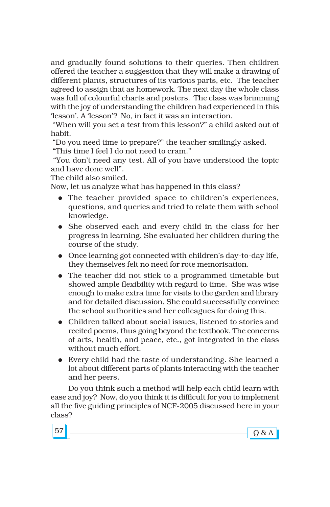and gradually found solutions to their queries. Then children offered the teacher a suggestion that they will make a drawing of different plants, structures of its various parts, etc. The teacher agreed to assign that as homework. The next day the whole class was full of colourful charts and posters. The class was brimming with the joy of understanding the children had experienced in this 'lesson'. A 'lesson'? No, in fact it was an interaction.

"When will you set a test from this lesson?" a child asked out of habit.

ìDo you need time to prepare?î the teacher smilingly asked.

"This time I feel I do not need to cram."

 ìYou donít need any test. All of you have understood the topic and have done well".

The child also smiled.

Now, let us analyze what has happened in this class?

- The teacher provided space to children's experiences, questions, and queries and tried to relate them with school knowledge.
- ! She observed each and every child in the class for her progress in learning. She evaluated her children during the course of the study.
- Once learning got connected with children's day-to-day life, they themselves felt no need for rote memorisation.
- The teacher did not stick to a programmed timetable but showed ample flexibility with regard to time. She was wise enough to make extra time for visits to the garden and library and for detailed discussion. She could successfully convince the school authorities and her colleagues for doing this.
- Children talked about social issues, listened to stories and recited poems, thus going beyond the textbook. The concerns of arts, health, and peace, etc., got integrated in the class without much effort.
- ! Every child had the taste of understanding. She learned a lot about different parts of plants interacting with the teacher and her peers.

Do you think such a method will help each child learn with ease and joy? Now, do you think it is difficult for you to implement all the five guiding principles of NCF-2005 discussed here in your class?

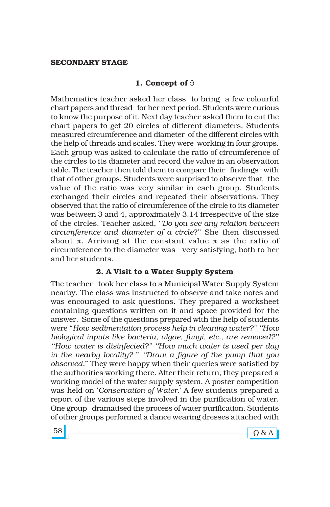#### **SECONDARY STAGE**

## **1. Concept of** ð

Mathematics teacher asked her class to bring a few colourful chart papers and thread for her next period. Students were curious to know the purpose of it. Next day teacher asked them to cut the chart papers to get 20 circles of different diameters. Students measured circumference and diameter of the different circles with the help of threads and scales. They were working in four groups. Each group was asked to calculate the ratio of circumference of the circles to its diameter and record the value in an observation table. The teacher then told them to compare their findings with that of other groups. Students were surprised to observe that the value of the ratio was very similar in each group. Students exchanged their circles and repeated their observations. They observed that the ratio of circumference of the circle to its diameter was between 3 and 4, approximately 3.14 irrespective of the size of the circles. Teacher asked, ë*ëDo you see any relation between circumference and diameter of a circle?*" She then discussed about  $\pi$ . Arriving at the constant value  $\pi$  as the ratio of circumference to the diameter was very satisfying, both to her and her students.

#### **2. A Visit to a Water Supply System**

The teacher took her class to a Municipal Water Supply System nearby. The class was instructed to observe and take notes and was encouraged to ask questions. They prepared a worksheet containing questions written on it and space provided for the answer. Some of the questions prepared with the help of students were "How sedimentation process help in cleaning water?" "How biological inputs like bacteria, algae, fungi, etc., are removed?" *ëëHow water is disinfected?î ëëHow much water is used per day in the nearby locality? " "Draw a figure of the pump that you observed*.î They were happy when their queries were satisfied by the authorities working there. After their return, they prepared a working model of the water supply system. A poster competition was held on '*Conservation of Water*.' A few students prepared a report of the various steps involved in the purification of water. One group dramatised the process of water purification. Students of other groups performed a dance wearing dresses attached with

 $58$   $\sim$   $98A$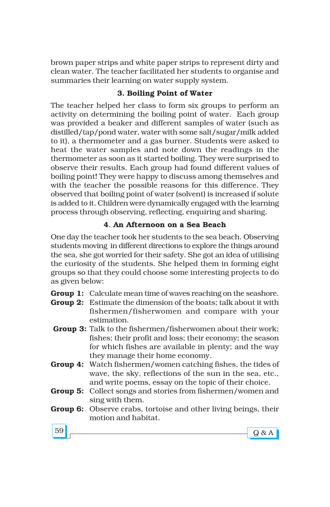brown paper strips and white paper strips to represent dirty and clean water. The teacher facilitated her students to organise and summaries their learning on water supply system.

## **3. Boiling Point of Water**

The teacher helped her class to form six groups to perform an activity on determining the boiling point of water. Each group was provided a beaker and different samples of water (such as distilled/tap/pond water, water with some salt/sugar/milk added to it), a thermometer and a gas burner. Students were asked to heat the water samples and note down the readings in the thermometer as soon as it started boiling. They were surprised to observe their results. Each group had found different values of boiling point! They were happy to discuss among themselves and with the teacher the possible reasons for this difference. They observed that boiling point of water (solvent) is increased if solute is added to it. Children were dynamically engaged with the learning process through observing, reflecting, enquiring and sharing.

# **4**. **An Afternoon on a Sea Beach**

One day the teacher took her students to the sea beach. Observing students moving in different directions to explore the things around the sea, she got worried for their safety. She got an idea of utilising the curiosity of the students. She helped them in forming eight groups so that they could choose some interesting projects to do as given below:

**Group 1:** Calculate mean time of waves reaching on the seashore.

- **Group 2:** Estimate the dimension of the boats; talk about it with fishermen/fisherwomen and compare with your estimation.
- **Group 3:** Talk to the fishermen/fisherwomen about their work; fishes; their profit and loss; their economy; the season for which fishes are available in plenty; and the way they manage their home economy.
- **Group 4:** Watch fishermen/women catching fishes, the tides of wave, the sky, reflections of the sun in the sea, etc., and write poems, essay on the topic of their choice.
- **Group 5:** Collect songs and stories from fishermen/women and sing with them.
- **Group 6:** Observe crabs, tortoise and other living beings, their motion and habitat.

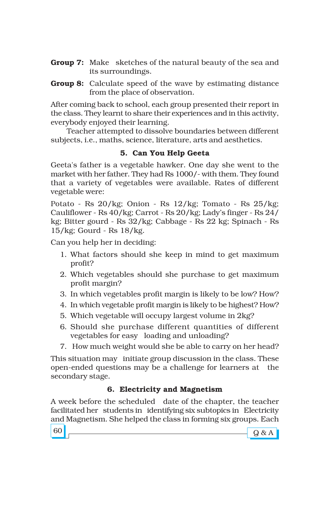- **Group 7:** Make sketches of the natural beauty of the sea and its surroundings.
- **Group 8:** Calculate speed of the wave by estimating distance from the place of observation.

After coming back to school, each group presented their report in the class. They learnt to share their experiences and in this activity, everybody enjoyed their learning.

Teacher attempted to dissolve boundaries between different subjects, i.e., maths, science, literature, arts and aesthetics.

# **5. Can You Help Geeta**

Geeta's father is a vegetable hawker. One day she went to the market with her father. They had Rs 1000/- with them. They found that a variety of vegetables were available. Rates of different vegetable were:

Potato - Rs 20/kg; Onion - Rs 12/kg; Tomato - Rs 25/kg; Cauliflower - Rs 40/kg; Carrot - Rs 20/kg; Ladyís finger - Rs 24/ kg; Bitter gourd - Rs 32/kg; Cabbage - Rs 22 kg; Spinach - Rs 15/kg; Gourd - Rs 18/kg.

Can you help her in deciding:

- 1. What factors should she keep in mind to get maximum profit?
- 2. Which vegetables should she purchase to get maximum profit margin?
- 3. In which vegetables profit margin is likely to be low? How?
- 4. In which vegetable profit margin is likely to be highest? How?
- 5. Which vegetable will occupy largest volume in 2kg?
- 6. Should she purchase different quantities of different vegetables for easy loading and unloading?
- 7. How much weight would she be able to carry on her head?

This situation may initiate group discussion in the class. These open-ended questions may be a challenge for learners at the secondary stage.

# **6. Electricity and Magnetism**

A week before the scheduled date of the chapter, the teacher facilitated her students in identifying six subtopics in Electricity and Magnetism. She helped the class in forming six groups. Each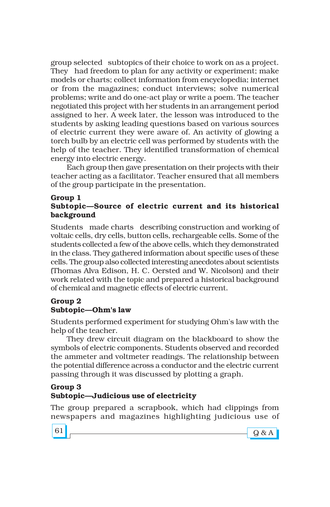group selected subtopics of their choice to work on as a project. They had freedom to plan for any activity or experiment; make models or charts; collect information from encyclopedia; internet or from the magazines; conduct interviews; solve numerical problems; write and do one-act play or write a poem. The teacher negotiated this project with her students in an arrangement period assigned to her. A week later, the lesson was introduced to the students by asking leading questions based on various sources of electric current they were aware of. An activity of glowing a torch bulb by an electric cell was performed by students with the help of the teacher. They identified transformation of chemical energy into electric energy.

Each group then gave presentation on their projects with their teacher acting as a facilitator. Teacher ensured that all members of the group participate in the presentation.

#### **Group 1** Subtopic—Source of electric current and its historical **background**

Students made charts describing construction and working of voltaic cells, dry cells, button cells, rechargeable cells. Some of the students collected a few of the above cells, which they demonstrated in the class. They gathered information about specific uses of these cells. The group also collected interesting anecdotes about scientists (Thomas Alva Edison, H. C. Oersted and W. Nicolson) and their work related with the topic and prepared a historical background of chemical and magnetic effects of electric current.

#### **Group 2** Subtopic—Ohm's law

Students performed experiment for studying Ohm's law with the help of the teacher.

They drew circuit diagram on the blackboard to show the symbols of electric components. Students observed and recorded the ammeter and voltmeter readings. The relationship between the potential difference across a conductor and the electric current passing through it was discussed by plotting a graph.

#### **Group 3** Subtopic—Judicious use of electricity

The group prepared a scrapbook, which had clippings from newspapers and magazines highlighting judicious use of

| e v<br>I<br>$\sim$ |
|--------------------|
|--------------------|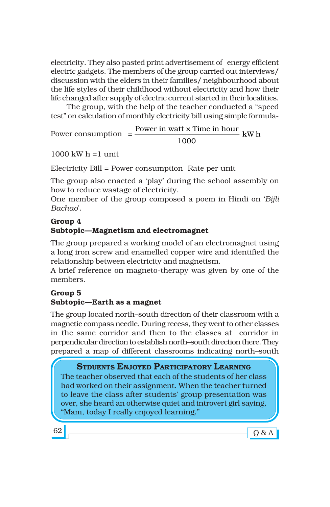electricity. They also pasted print advertisement of energy efficient electric gadgets. The members of the group carried out interviews/ discussion with the elders in their families/ neighbourhood about the life styles of their childhood without electricity and how their life changed after supply of electric current started in their localities.

The group, with the help of the teacher conducted a "speed" test" on calculation of monthly electricity bill using simple formula-

Power consumption  $= \frac{Power \text{ in } w \text{ at } x \text{ Time in hour}}{E(\text{ W h})}$ 1000

 $1000 \text{ kW} \text{h} = 1 \text{ unit}$ 

Electricity Bill = Power consumption Rate per unit

The group also enacted a 'play' during the school assembly on how to reduce wastage of electricity.

One member of the group composed a poem in Hindi on ë*Bijli Bachao*í.

# **Group 4 Subtopic-Magnetism and electromagnet**

The group prepared a working model of an electromagnet using a long iron screw and enamelled copper wire and identified the relationship between electricity and magnetism.

A brief reference on magneto-therapy was given by one of the members.

# **Group 5** Subtopic-Earth as a magnet

The group located north-south direction of their classroom with a magnetic compass needle. During recess, they went to other classes in the same corridor and then to the classes at corridor in perpendicular direction to establish north-south direction there. They prepared a map of different classrooms indicating north-south

# **STDUENTS ENJOYED PARTICIPATORY LEARNING**

The teacher observed that each of the students of her class had worked on their assignment. When the teacher turned to leave the class after students' group presentation was over, she heard an otherwise quiet and introvert girl saying, "Mam, today I really enjoyed learning."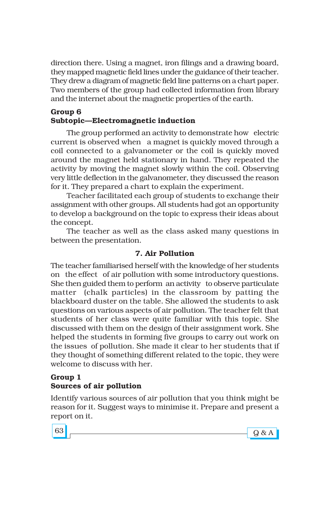direction there. Using a magnet, iron filings and a drawing board, they mapped magnetic field lines under the guidance of their teacher. They drew a diagram of magnetic field line patterns on a chart paper. Two members of the group had collected information from library and the internet about the magnetic properties of the earth.

#### **Group 6 Subtopic—Electromagnetic induction**

The group performed an activity to demonstrate how electric current is observed when a magnet is quickly moved through a coil connected to a galvanometer or the coil is quickly moved around the magnet held stationary in hand. They repeated the activity by moving the magnet slowly within the coil. Observing very little deflection in the galvanometer, they discussed the reason for it. They prepared a chart to explain the experiment.

Teacher facilitated each group of students to exchange their assignment with other groups. All students had got an opportunity to develop a background on the topic to express their ideas about the concept.

The teacher as well as the class asked many questions in between the presentation.

# **7. Air Pollution**

The teacher familiarised herself with the knowledge of her students on the effect of air pollution with some introductory questions. She then guided them to perform an activity to observe particulate matter (chalk particles) in the classroom by patting the blackboard duster on the table. She allowed the students to ask questions on various aspects of air pollution. The teacher felt that students of her class were quite familiar with this topic. She discussed with them on the design of their assignment work. She helped the students in forming five groups to carry out work on the issues of pollution. She made it clear to her students that if they thought of something different related to the topic, they were welcome to discuss with her.

#### **Group 1 Sources of air pollution**

Identify various sources of air pollution that you think might be reason for it. Suggest ways to minimise it. Prepare and present a report on it.

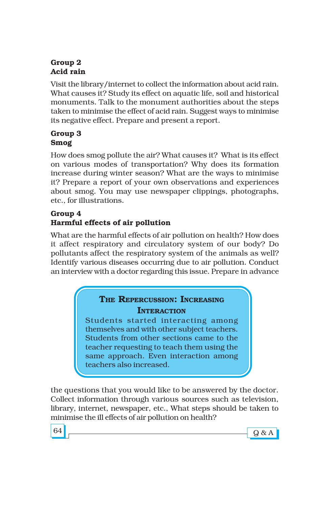# **Group 2 Acid rain**

Visit the library/internet to collect the information about acid rain. What causes it? Study its effect on aquatic life, soil and historical monuments. Talk to the monument authorities about the steps taken to minimise the effect of acid rain. Suggest ways to minimise its negative effect. Prepare and present a report.

# **Group 3 Smog**

How does smog pollute the air? What causes it? What is its effect on various modes of transportation? Why does its formation increase during winter season? What are the ways to minimise it? Prepare a report of your own observations and experiences about smog. You may use newspaper clippings, photographs, etc., for illustrations.

# **Group 4 Harmful effects of air pollution**

What are the harmful effects of air pollution on health? How does it affect respiratory and circulatory system of our body? Do pollutants affect the respiratory system of the animals as well? Identify various diseases occurring due to air pollution. Conduct an interview with a doctor regarding this issue. Prepare in advance

# **THE REPERCUSSION: INCREASING INTERACTION**

Students started interacting among themselves and with other subject teachers. Students from other sections came to the teacher requesting to teach them using the same approach. Even interaction among teachers also increased.

the questions that you would like to be answered by the doctor. Collect information through various sources such as television, library, internet, newspaper, etc., What steps should be taken to minimise the ill effects of air pollution on health?

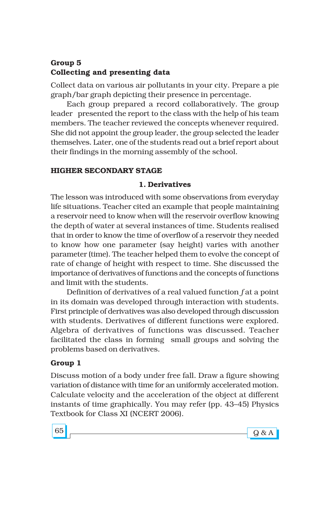# **Group 5 Collecting and presenting data**

Collect data on various air pollutants in your city. Prepare a pie graph/bar graph depicting their presence in percentage.

Each group prepared a record collaboratively. The group leader presented the report to the class with the help of his team members. The teacher reviewed the concepts whenever required. She did not appoint the group leader, the group selected the leader themselves. Later, one of the students read out a brief report about their findings in the morning assembly of the school.

### **HIGHER SECONDARY STAGE**

#### **1. Derivatives**

The lesson was introduced with some observations from everyday life situations. Teacher cited an example that people maintaining a reservoir need to know when will the reservoir overflow knowing the depth of water at several instances of time. Students realised that in order to know the time of overflow of a reservoir they needed to know how one parameter (say height) varies with another parameter (time). The teacher helped them to evolve the concept of rate of change of height with respect to time. She discussed the importance of derivatives of functions and the concepts of functions and limit with the students.

Definition of derivatives of a real valued function *f* at a point in its domain was developed through interaction with students. First principle of derivatives was also developed through discussion with students. Derivatives of different functions were explored. Algebra of derivatives of functions was discussed. Teacher facilitated the class in forming small groups and solving the problems based on derivatives.

#### **Group 1**

Discuss motion of a body under free fall. Draw a figure showing variation of distance with time for an uniformly accelerated motion. Calculate velocity and the acceleration of the object at different instants of time graphically. You may refer (pp. 43–45) Physics Textbook for Class XI (NCERT 2006).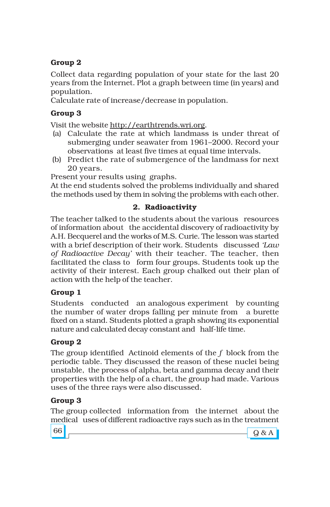# **Group 2**

Collect data regarding population of your state for the last 20 years from the Internet. Plot a graph between time (in years) and population.

Calculate rate of increase/decrease in population.

# **Group 3**

Visit the website http://earthtrends.wri.org.

- (a) Calculate the rate at which landmass is under threat of submerging under seawater from 1961–2000. Record your observations at least five times at equal time intervals.
- (b) Predict the rate of submergence of the landmass for next 20 years.

Present your results using graphs.

At the end students solved the problems individually and shared the methods used by them in solving the problems with each other.

# **2. Radioactivity**

The teacher talked to the students about the various resources of information about the accidental discovery of radioactivity by A.H. Becquerel and the works of M.S. Curie. The lesson was started with a brief description of their work. Students discussed *ëLaw of Radioactive Decayí* with their teacher. The teacher, then facilitated the class to form four groups. Students took up the activity of their interest. Each group chalked out their plan of action with the help of the teacher.

### **Group 1**

Students conducted an analogous experiment by counting the number of water drops falling per minute from a burette fixed on a stand. Students plotted a graph showing its exponential nature and calculated decay constant and half-life time.

# **Group 2**

The group identified Actinoid elements of the *f* block from the periodic table. They discussed the reason of these nuclei being unstable, the process of alpha, beta and gamma decay and their properties with the help of a chart, the group had made. Various uses of the three rays were also discussed.

# **Group 3**

The group collected information from the internet about the medical uses of different radioactive rays such as in the treatment

66 Q & A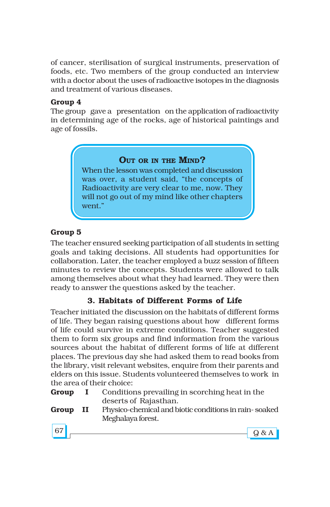of cancer, sterilisation of surgical instruments, preservation of foods, etc. Two members of the group conducted an interview with a doctor about the uses of radioactive isotopes in the diagnosis and treatment of various diseases.

#### **Group 4**

The group gave a presentation on the application of radioactivity in determining age of the rocks, age of historical paintings and age of fossils.

# **OUT OR IN THE MIND?**

When the lesson was completed and discussion was over, a student said, "the concepts of Radioactivity are very clear to me, now. They will not go out of my mind like other chapters went."

# **Group 5**

The teacher ensured seeking participation of all students in setting goals and taking decisions. All students had opportunities for collaboration. Later, the teacher employed a buzz session of fifteen minutes to review the concepts. Students were allowed to talk among themselves about what they had learned. They were then ready to answer the questions asked by the teacher.

# **3. Habitats of Different Forms of Life**

Teacher initiated the discussion on the habitats of different forms of life. They began raising questions about how different forms of life could survive in extreme conditions. Teacher suggested them to form six groups and find information from the various sources about the habitat of different forms of life at different places. The previous day she had asked them to read books from the library, visit relevant websites, enquire from their parents and elders on this issue. Students volunteered themselves to work in the area of their choice:

- **Group I** Conditions prevailing in scorching heat in the deserts of Rajasthan.
- **Group II** Physico-chemical and biotic conditions in rain- soaked Meghalaya forest.

| e v<br>٠<br>× |
|---------------|
|---------------|

| 67<br>ັ |  |
|---------|--|
|         |  |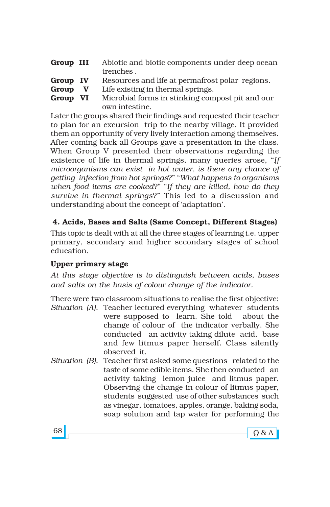| Group III | Abiotic and biotic components under deep ocean |
|-----------|------------------------------------------------|
|           | trenches.                                      |

- **Group IV** Resources and life at permafrost polar regions.
- **Group V** Life existing in thermal springs.
- **Group VI** Microbial forms in stinking compost pit and our own intestine.

Later the groups shared their findings and requested their teacher to plan for an excursion trip to the nearby village. It provided them an opportunity of very lively interaction among themselves. After coming back all Groups gave a presentation in the class. When Group V presented their observations regarding the existence of life in thermal springs, many queries arose, "If *microorganisms can exist in hot water, is there any chance of getting infection from hot springs?*" "*What happens to organisms when food items are cooked?*" "If they are killed, how do they *survive in thermal springs*?î This led to a discussion and understanding about the concept of 'adaptation'.

**4. Acids, Bases and Salts (Same Concept, Different Stages)**

This topic is dealt with at all the three stages of learning i.e. upper primary, secondary and higher secondary stages of school education.

### **Upper primary stage**

*At this stage objective is to distinguish between acids, bases and salts on the basis of colour change of the indicator.*

There were two classroom situations to realise the first objective: *Situation (A)*. Teacher lectured everything whatever students were supposed to learn. She told about the change of colour of the indicator verbally. She conducted an activity taking dilute acid, base and few litmus paper herself. Class silently observed it.

*Situation (B)*. Teacher first asked some questions related to the taste of some edible items. She then conducted an activity taking lemon juice and litmus paper. Observing the change in colour of litmus paper, students suggested use of other substances such as vinegar, tomatoes, apples, orange, baking soda, soap solution and tap water for performing the

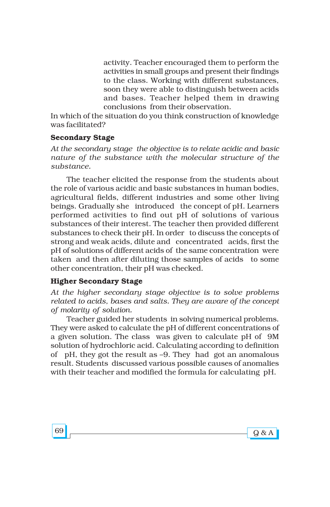activity. Teacher encouraged them to perform the activities in small groups and present their findings to the class. Working with different substances, soon they were able to distinguish between acids and bases. Teacher helped them in drawing conclusions from their observation.

In which of the situation do you think construction of knowledge was facilitated?

#### **Secondary Stage**

*At the secondary stage the objective is to relate acidic and basic nature of the substance with the molecular structure of the substance.*

The teacher elicited the response from the students about the role of various acidic and basic substances in human bodies, agricultural fields, different industries and some other living beings. Gradually she introduced the concept of pH. Learners performed activities to find out pH of solutions of various substances of their interest. The teacher then provided different substances to check their pH. In order to discuss the concepts of strong and weak acids, dilute and concentrated acids, first the pH of solutions of different acids of the same concentration were taken and then after diluting those samples of acids to some other concentration, their pH was checked.

#### **Higher Secondary Stage**

*At the higher secondary stage objective is to solve problems related to acids, bases and salts. They are aware of the concept of molarity of solution.*

Teacher guided her students in solving numerical problems. They were asked to calculate the pH of different concentrations of a given solution. The class was given to calculate pH of 9M solution of hydrochloric acid. Calculating according to definition of pH, they got the result as -9. They had got an anomalous result. Students discussed various possible causes of anomalies with their teacher and modified the formula for calculating pH.

 $69$  Q & A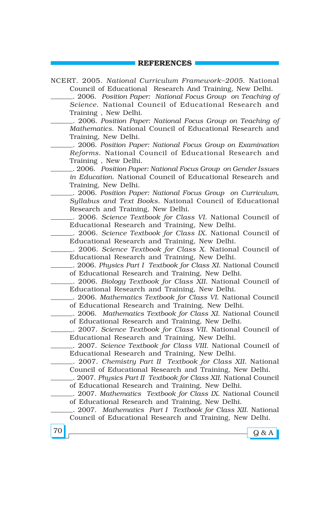#### **REFERENCES**

 $70$  Q & A NCERT. 2005. *National Curriculum Framework-2005*. National Council of Educational Research And Training, New Delhi. . 2006. *Position Paper: National Focus Group on Teaching of Science*. National Council of Educational Research and Training , New Delhi. . 2006. *Position Paper: National Focus Group on Teaching of Mathematics*. National Council of Educational Research and Training, New Delhi. . 2006. *Position Paper: National Focus Group on Examination Reforms*. National Council of Educational Research and Training , New Delhi. . 2006. *Position Paper: National Focus Group on Gender Issues in Education*. National Council of Educational Research and Training, New Delhi. . 2006. *Position Paper: National Focus Group on Curriculum, Syllabus and Text Books*. National Council of Educational Research and Training, New Delhi. . 2006. *Science Textbook for Class VI*. National Council of Educational Research and Training, New Delhi. . 2006. *Science Textbook for Class IX*. National Council of Educational Research and Training, New Delhi. . 2006. *Science Textbook for Class X*. National Council of Educational Research and Training, New Delhi. . 2006. *Physics Part I Textbook for Class XI*. National Council of Educational Research and Training, New Delhi. . 2006. *Biology Textbook for Class XII*. National Council of Educational Research and Training, New Delhi. . 2006. *Mathematics Textbook for Class VI*. National Council of Educational Research and Training, New Delhi. . 2006. *Mathematics Textbook for Class XI*. National Council of Educational Research and Training, New Delhi. . 2007. *Science Textbook for Class VII*. National Council of Educational Research and Training, New Delhi. . 2007. *Science Textbook for Class VIII*. National Council of Educational Research and Training, New Delhi. . 2007. *Chemistry Part II Textbook for Class XII*. National Council of Educational Research and Training, New Delhi. . 2007. *Physics Part II Textbook for Class XII*. National Council of Educational Research and Training, New Delhi. . 2007. *Mathematics Textbook for Class IX*. National Council of Educational Research and Training, New Delhi. . 2007. *Mathematics Part I Textbook for Class XII*. National Council of Educational Research and Training, New Delhi.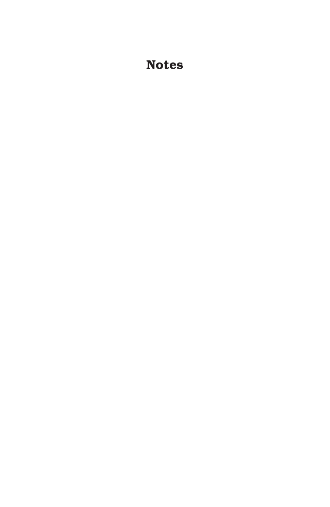# **Notes**